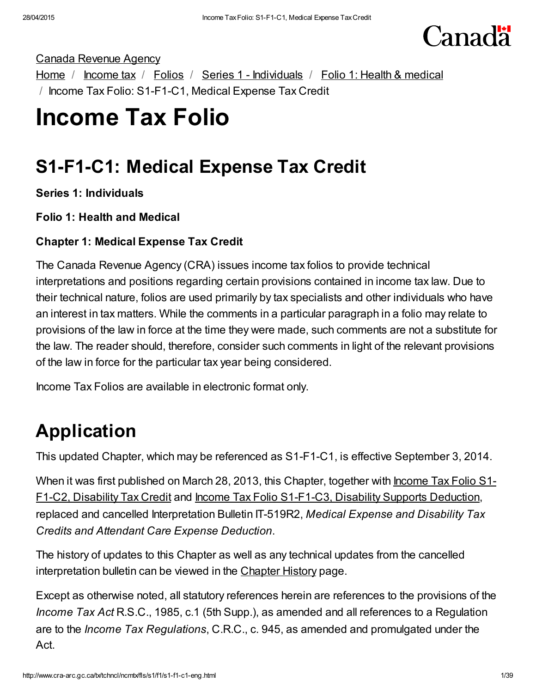

#### Canada [Revenue](http://www.cra-arc.gc.ca/menu-eng.html) Agency

[Home](http://www.cra-arc.gc.ca/menu-eng.html) / [Income](http://www.cra-arc.gc.ca/tx/tchncl/ncmtx/menu-eng.html) tax / [Folios](http://www.cra-arc.gc.ca/tx/tchncl/ncmtx/fls/menu-eng.html) / Series 1 - [Individuals](http://www.cra-arc.gc.ca/tx/tchncl/ncmtx/fls/s1/menu-eng.html) / Folio 1: Health & [medical](http://www.cra-arc.gc.ca/tx/tchncl/ncmtx/fls/s1/f1/menu-eng.html) / Income Tax Folio: S1-F1-C1, Medical Expense Tax Credit

# Income Tax Folio

# S1-F1-C1: Medical Expense Tax Credit

Series 1: Individuals

#### Folio 1: Health and Medical

#### Chapter 1: Medical Expense Tax Credit

The Canada Revenue Agency (CRA) issues income tax folios to provide technical interpretations and positions regarding certain provisions contained in income tax law. Due to their technical nature, folios are used primarily by tax specialists and other individuals who have an interest in tax matters. While the comments in a particular paragraph in a folio may relate to provisions of the law in force at the time they were made, such comments are not a substitute for the law. The reader should, therefore, consider such comments in light of the relevant provisions of the law in force for the particular tax year being considered.

Income Tax Folios are available in electronic format only.

# Application

This updated Chapter, which may be referenced as S1-F1-C1, is effective September 3, 2014.

When it was first published on March 28, 2013, this Chapter, together with Income Tax Folio S1- F1-C2, Disability Tax Credit and Income Tax Folio [S1-F1-C3,](http://www.cra-arc.gc.ca/tx/tchncl/ncmtx/fls/s1/f1/s1-f1-c3-eng.html) Disability Supports [Deduction,](http://www.cra-arc.gc.ca/tx/tchncl/ncmtx/fls/s1/f1/s1-f1-c2-eng.html) replaced and cancelled Interpretation Bulletin IT-519R2, Medical Expense and Disability Tax Credits and Attendant Care Expense Deduction.

The history of updates to this Chapter as well as any technical updates from the cancelled interpretation bulletin can be viewed in the [Chapter](http://www.cra-arc.gc.ca/tx/tchncl/ncmtx/fls/s1/f1/s1-f1-c1-hstry-eng.html) History page.

Except as otherwise noted, all statutory references herein are references to the provisions of the Income Tax Act R.S.C., 1985, c.1 (5th Supp.), as amended and all references to a Regulation are to the Income Tax Regulations, C.R.C., c. 945, as amended and promulgated under the Act.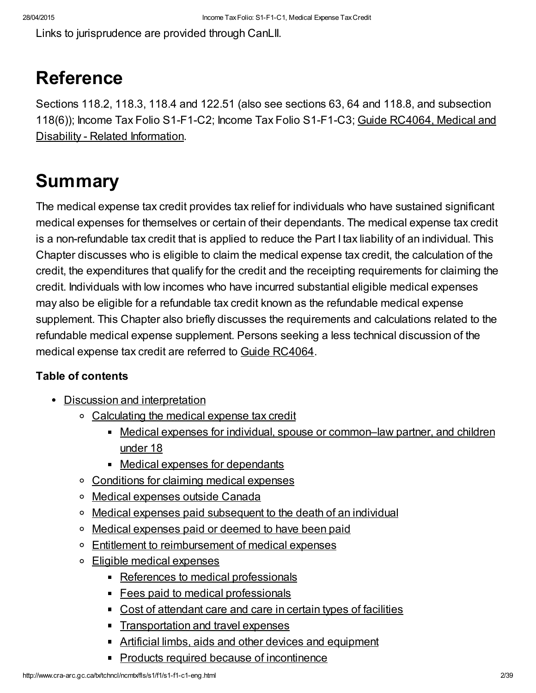Links to jurisprudence are provided through CanLII.

# Reference

Sections 118.2, 118.3, 118.4 and 122.51 (also see sections 63, 64 and 118.8, and subsection 118(6)); Income Tax Folio S1-F1-C2; Income Tax Folio S1-F1-C3; Guide RC4064, Medical and Disability - Related [Information.](http://www.cra-arc.gc.ca/E/pub/tg/rc4064/README.html)

# **Summary**

The medical expense tax credit provides tax relief for individuals who have sustained significant medical expenses for themselves or certain of their dependants. The medical expense tax credit is a non-refundable tax credit that is applied to reduce the Part I tax liability of an individual. This Chapter discusses who is eligible to claim the medical expense tax credit, the calculation of the credit, the expenditures that qualify for the credit and the receipting requirements for claiming the credit. Individuals with low incomes who have incurred substantial eligible medical expenses may also be eligible for a refundable tax credit known as the refundable medical expense supplement. This Chapter also briefly discusses the requirements and calculations related to the refundable medical expense supplement. Persons seeking a less technical discussion of the medical expense tax credit are referred to Guide [RC4064.](http://www.cra-arc.gc.ca/E/pub/tg/rc4064/README.html)

#### Table of contents

- Discussion and [interpretation](#page-2-0)
	- [Calculating](#page-2-1) the medical expense tax credit
		- Medical expenses for individual, spouse or [common–law](#page-3-0) partner, and children under 18
		- **Medical expenses for [dependants](#page-3-1)**
	- [Conditions](#page-4-0) for claiming medical expenses
	- Medical [expenses](#page-5-0) outside Canada
	- Medical expenses paid [subsequent](#page-6-1) to the death of an individual
	- o Medical [expenses](#page-6-2) paid or deemed to have been paid
	- Entitlement to [reimbursement](#page-6-0) of medical expenses
	- **Eligible medical [expenses](#page-7-0)** 
		- References to medical [professionals](#page-7-1)
		- **Fees paid to medical [professionals](#page-8-0)**
		- Cost of [attendant](#page-9-0) care and care in certain types of facilities
		- [Transportation](#page-15-0) and travel expenses
		- **EXTENDING** Artificial limbs, aids and other devices and [equipment](#page-17-0)
		- **Products required because of [incontinence](#page-20-0)**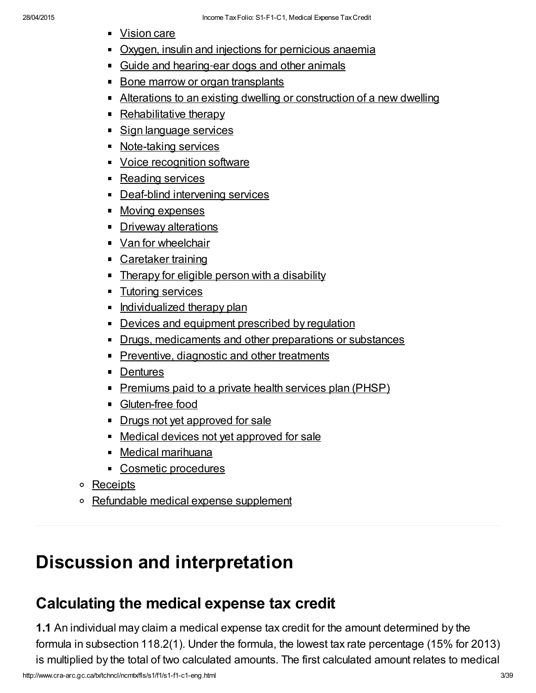- [Vision](#page-20-1) care
- **Dxygen, insulin and injections for [pernicious](#page-21-1) anaemia**
- Guide and hearing-ear dogs and other [animals](#page-21-2)
- Bone marrow or organ [transplants](#page-21-0)
- Alterations to an existing dwelling or [construction](#page-22-0) of a new dwelling
- [Rehabilitative](#page-23-1) therapy
- Sign [language](#page-23-0) services
- **[Note-taking](#page-24-4) services**
- **Voice [recognition](#page-24-0) software**
- [Reading](#page-24-3) services
- Deaf-blind [intervening](#page-24-1) services
- **Moving [expenses](#page-24-2)**
- **Driveway [alterations](#page-25-0)**
- **Van for [wheelchair](#page-25-1)**
- [Caretaker](#page-26-0) training
- Therapy for eligible person with a [disability](#page-26-2)
- **Tutoring [services](#page-26-1)**
- [Individualized](#page-27-0) therapy plan
- Devices and equipment [prescribed](#page-27-1) by regulation
- Drugs, [medicaments](#page-31-0) and other preparations or substances
- [Preventive,](#page-32-0) diagnostic and other treatments
- **[Dentures](#page-33-1)**
- **[Premiums](#page-33-0) paid to a private health services plan (PHSP)**
- [Gluten-free](#page-34-0) food
- Drugs not yet [approved](#page-34-1) for sale
- **Medical devices not yet [approved](#page-34-2) for sale**
- Medical [marihuana](#page-34-3)
- Cosmetic [procedures](#page-35-0)
- <sup>o</sup> [Receipts](#page-36-1)
- Refundable medical expense [supplement](#page-36-0)

# <span id="page-2-0"></span>Discussion and interpretation

## <span id="page-2-1"></span>Calculating the medical expense tax credit

1.1 An individual may claim a medical expense tax credit for the amount determined by the formula in subsection 118.2(1). Under the formula, the lowest tax rate percentage (15% for 2013) is multiplied by the total of two calculated amounts. The first calculated amount relates to medical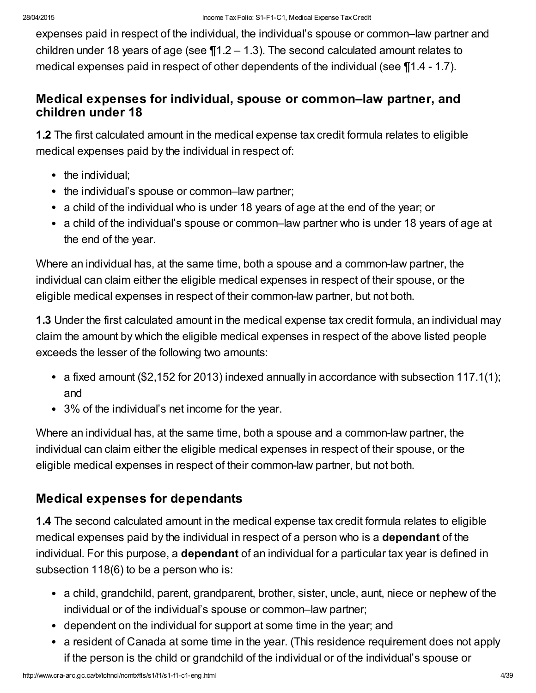expenses paid in respect of the individual, the individual's spouse or common–law partner and children under 18 years of age (see  $\P$ 1.2 – 1.3). The second calculated amount relates to medical expenses paid in respect of other dependents of the individual (see ¶1.4 - 1.7).

#### <span id="page-3-0"></span>Medical expenses for individual, spouse or common–law partner, and children under 18

1.2 The first calculated amount in the medical expense tax credit formula relates to eligible medical expenses paid by the individual in respect of:

- the individual:
- the individual's spouse or common–law partner;
- a child of the individual who is under 18 years of age at the end of the year; or
- a child of the individual's spouse or common–law partner who is under 18 years of age at the end of the year.

Where an individual has, at the same time, both a spouse and a common-law partner, the individual can claim either the eligible medical expenses in respect of their spouse, or the eligible medical expenses in respect of their common-law partner, but not both.

1.3 Under the first calculated amount in the medical expense tax credit formula, an individual may claim the amount by which the eligible medical expenses in respect of the above listed people exceeds the lesser of the following two amounts:

- a fixed amount (\$2,152 for 2013) indexed annually in accordance with subsection 117.1(1); and
- 3% of the individual's net income for the year.

Where an individual has, at the same time, both a spouse and a common-law partner, the individual can claim either the eligible medical expenses in respect of their spouse, or the eligible medical expenses in respect of their common-law partner, but not both.

## <span id="page-3-1"></span>Medical expenses for dependants

1.4 The second calculated amount in the medical expense tax credit formula relates to eligible medical expenses paid by the individual in respect of a person who is a dependant of the individual. For this purpose, a **dependant** of an individual for a particular tax year is defined in subsection 118(6) to be a person who is:

- a child, grandchild, parent, grandparent, brother, sister, uncle, aunt, niece or nephew of the individual or of the individual's spouse or common–law partner;
- dependent on the individual for support at some time in the year; and
- a resident of Canada at some time in the year. (This residence requirement does not apply if the person is the child or grandchild of the individual or of the individual's spouse or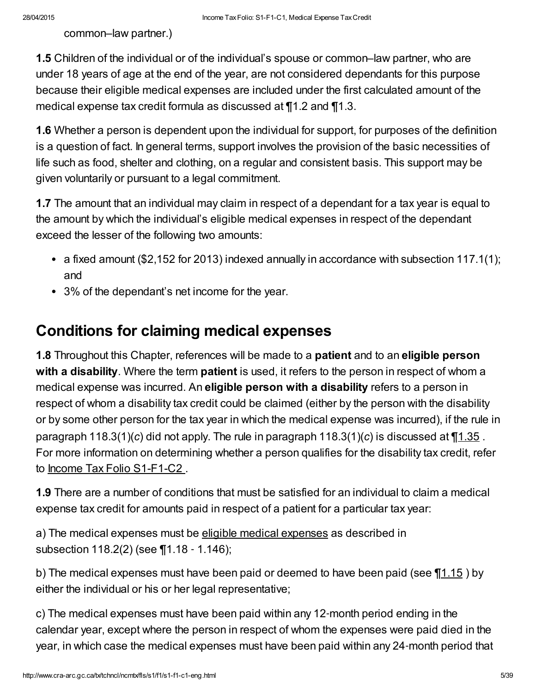#### common–law partner.)

1.5 Children of the individual or of the individual's spouse or common–law partner, who are under 18 years of age at the end of the year, are not considered dependants for this purpose because their eligible medical expenses are included under the first calculated amount of the medical expense tax credit formula as discussed at ¶1.2 and ¶1.3.

1.6 Whether a person is dependent upon the individual for support, for purposes of the definition is a question of fact. In general terms, support involves the provision of the basic necessities of life such as food, shelter and clothing, on a regular and consistent basis. This support may be given voluntarily or pursuant to a legal commitment.

1.7 The amount that an individual may claim in respect of a dependant for a tax year is equal to the amount by which the individual's eligible medical expenses in respect of the dependant exceed the lesser of the following two amounts:

- a fixed amount (\$2,152 for 2013) indexed annually in accordance with subsection 117.1(1); and
- 3% of the dependant's net income for the year.

## <span id="page-4-0"></span>Conditions for claiming medical expenses

<span id="page-4-1"></span>1.8 Throughout this Chapter, references will be made to a **patient** and to an eligible person with a disability. Where the term patient is used, it refers to the person in respect of whom a medical expense was incurred. An eligible person with a disability refers to a person in respect of whom a disability tax credit could be claimed (either by the person with the disability or by some other person for the tax year in which the medical expense was incurred), if the rule in paragraph 118.3(1)(c) did not apply. The rule in paragraph 118.3(1)(c) is discussed at  $\P$ 1.35. For more information on determining whether a person qualifies for the disability tax credit, refer to Income Tax Folio [S1-F1-C2](http://www.cra-arc.gc.ca/tx/tchncl/ncmtx/fls/s1/f1/s1-f1-c2-eng.html) .

1.9 There are a number of conditions that must be satisfied for an individual to claim a medical expense tax credit for amounts paid in respect of a patient for a particular tax year:

a) The medical expenses must be eligible medical expenses as described in subsection 118.2(2) (see ¶1.18 - 1.146);

b) The medical expenses must have been paid or deemed to have been paid (see ¶1.15 ) by either the individual or his or her legal representative;

c) The medical expenses must have been paid within any 12‑month period ending in the calendar year, except where the person in respect of whom the expenses were paid died in the year, in which case the medical expenses must have been paid within any 24‑month period that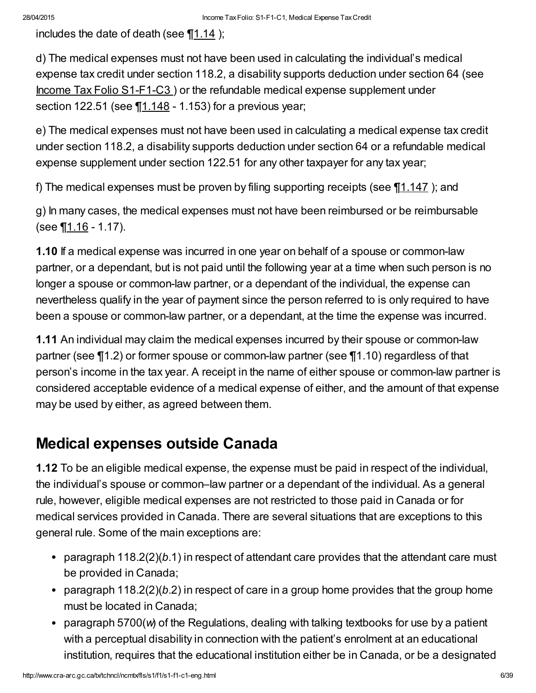includes the date of death (see ¶1.14 );

d) The medical expenses must not have been used in calculating the individual's medical expense tax credit under section 118.2, a disability supports deduction under section 64 (see Income Tax Folio [S1-F1-C3](http://www.cra-arc.gc.ca/tx/tchncl/ncmtx/fls/s1/f1/s1-f1-c3-eng.html) ) or the refundable medical expense supplement under section 122.51 (see  $\P$ 1.148 - 1.153) for a previous year;

e) The medical expenses must not have been used in calculating a medical expense tax credit under section 118.2, a disability supports deduction under section 64 or a refundable medical expense supplement under section 122.51 for any other taxpayer for any tax year;

f) The medical expenses must be proven by filing supporting receipts (see  $\P$ 1.147); and

g) In many cases, the medical expenses must not have been reimbursed or be reimbursable (see  $\P$ 1.16 - 1.17).

**1.10** If a medical expense was incurred in one year on behalf of a spouse or common-law partner, or a dependant, but is not paid until the following year at a time when such person is no longer a spouse or common-law partner, or a dependant of the individual, the expense can nevertheless qualify in the year of payment since the person referred to is only required to have been a spouse or common-law partner, or a dependant, at the time the expense was incurred.

1.11 An individual may claim the medical expenses incurred by their spouse or common-law partner (see ¶1.2) or former spouse or common-law partner (see ¶1.10) regardless of that person's income in the tax year. A receipt in the name of either spouse or common-law partner is considered acceptable evidence of a medical expense of either, and the amount of that expense may be used by either, as agreed between them.

## <span id="page-5-0"></span>Medical expenses outside Canada

1.12 To be an eligible medical expense, the expense must be paid in respect of the individual, the individual's spouse or common–law partner or a dependant of the individual. As a general rule, however, eligible medical expenses are not restricted to those paid in Canada or for medical services provided in Canada. There are several situations that are exceptions to this general rule. Some of the main exceptions are:

- paragraph 118.2(2)(b.1) in respect of attendant care provides that the attendant care must be provided in Canada;
- paragraph  $118.2(2)(b.2)$  in respect of care in a group home provides that the group home must be located in Canada;
- paragraph 5700(w) of the Regulations, dealing with talking textbooks for use by a patient with a perceptual disability in connection with the patient's enrolment at an educational institution, requires that the educational institution either be in Canada, or be a designated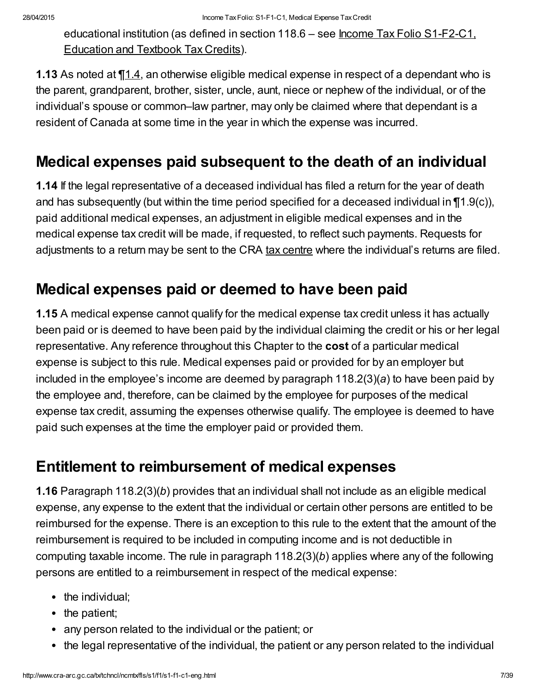[educational](http://www.cra-arc.gc.ca/tx/tchncl/ncmtx/fls/s1/f2/s1-f2-c1-eng.html#p1.9) institution (as defined in section 118.6 – see Income Tax Folio S1-F2-C1, Education and Textbook Tax Credits).

1.13 As noted at  $\P$ 1.4, an otherwise eligible medical expense in respect of a dependant who is the parent, grandparent, brother, sister, uncle, aunt, niece or nephew of the individual, or of the individual's spouse or common–law partner, may only be claimed where that dependant is a resident of Canada at some time in the year in which the expense was incurred.

# <span id="page-6-1"></span>Medical expenses paid subsequent to the death of an individual

1.14 If the legal representative of a deceased individual has filed a return for the year of death and has subsequently (but within the time period specified for a deceased individual in  $\P$ 1.9(c)), paid additional medical expenses, an adjustment in eligible medical expenses and in the medical expense tax credit will be made, if requested, to reflect such payments. Requests for adjustments to a return may be sent to the CRA tax [centre](http://www.cra-arc.gc.ca/cntct/t1ddr-eng.html) where the individual's returns are filed.

# <span id="page-6-2"></span>Medical expenses paid or deemed to have been paid

1.15 A medical expense cannot qualify for the medical expense tax credit unless it has actually been paid or is deemed to have been paid by the individual claiming the credit or his or her legal representative. Any reference throughout this Chapter to the cost of a particular medical expense is subject to this rule. Medical expenses paid or provided for by an employer but included in the employee's income are deemed by paragraph 118.2(3)(a) to have been paid by the employee and, therefore, can be claimed by the employee for purposes of the medical expense tax credit, assuming the expenses otherwise qualify. The employee is deemed to have paid such expenses at the time the employer paid or provided them.

# <span id="page-6-0"></span>Entitlement to reimbursement of medical expenses

1.16 Paragraph 118.2(3)(b) provides that an individual shall not include as an eligible medical expense, any expense to the extent that the individual or certain other persons are entitled to be reimbursed for the expense. There is an exception to this rule to the extent that the amount of the reimbursement is required to be included in computing income and is not deductible in computing taxable income. The rule in paragraph 118.2(3)(b) applies where any of the following persons are entitled to a reimbursement in respect of the medical expense:

- the individual;
- the patient;
- any person related to the individual or the patient; or
- the legal representative of the individual, the patient or any person related to the individual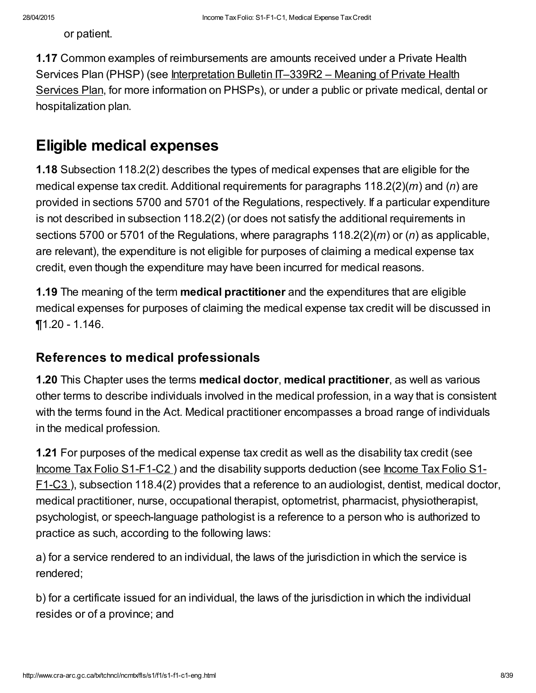or patient.

1.17 Common examples of reimbursements are amounts received under a Private Health Services Plan (PHSP) (see [Interpretation](http://www.cra-arc.gc.ca/E/pub/tp/it339r2/README.html) Bulletin IT–339R2 – Meaning of Private Health Services Plan, for more information on PHSPs), or under a public or private medical, dental or hospitalization plan.

# <span id="page-7-0"></span>Eligible medical expenses

1.18 Subsection 118.2(2) describes the types of medical expenses that are eligible for the medical expense tax credit. Additional requirements for paragraphs  $118.2(2)(m)$  and  $(n)$  are provided in sections 5700 and 5701 of the Regulations, respectively. If a particular expenditure is not described in subsection 118.2(2) (or does not satisfy the additional requirements in sections 5700 or 5701 of the Regulations, where paragraphs  $118.2(2)(m)$  or (n) as applicable, are relevant), the expenditure is not eligible for purposes of claiming a medical expense tax credit, even though the expenditure may have been incurred for medical reasons.

**1.19** The meaning of the term medical practitioner and the expenditures that are eligible medical expenses for purposes of claiming the medical expense tax credit will be discussed in ¶1.20 - 1.146.

## <span id="page-7-1"></span>References to medical professionals

1.20 This Chapter uses the terms medical doctor, medical practitioner, as well as various other terms to describe individuals involved in the medical profession, in a way that is consistent with the terms found in the Act. Medical practitioner encompasses a broad range of individuals in the medical profession.

1.21 For purposes of the medical expense tax credit as well as the disability tax credit (see Income Tax Folio [S1-F1-C2](http://www.cra-arc.gc.ca/tx/tchncl/ncmtx/fls/s1/f1/s1-f1-c2-eng.html) ) and the disability supports deduction (see Income Tax Folio S1- F1-C3 ), subsection 118.4(2) provides that a reference to an [audiologist,](http://www.cra-arc.gc.ca/tx/tchncl/ncmtx/fls/s1/f1/s1-f1-c3-eng.html) dentist, medical doctor, medical practitioner, nurse, occupational therapist, optometrist, pharmacist, physiotherapist, psychologist, or speech-language pathologist is a reference to a person who is authorized to practice as such, according to the following laws:

a) for a service rendered to an individual, the laws of the jurisdiction in which the service is rendered;

b) for a certificate issued for an individual, the laws of the jurisdiction in which the individual resides or of a province; and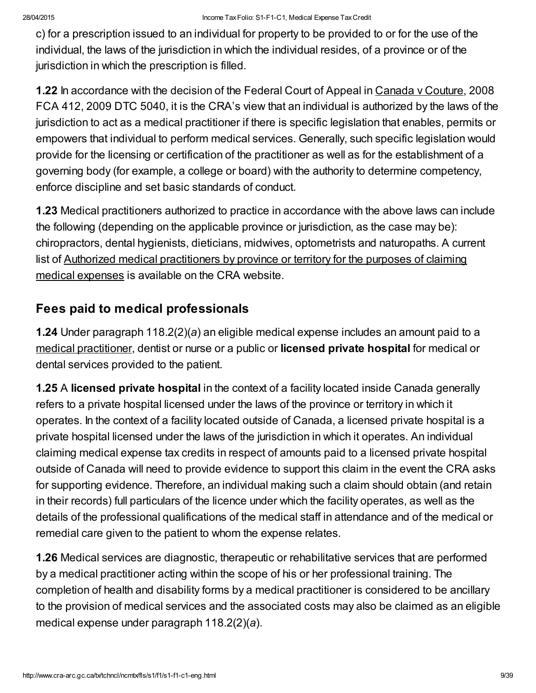c) for a prescription issued to an individual for property to be provided to or for the use of the individual, the laws of the jurisdiction in which the individual resides, of a province or of the jurisdiction in which the prescription is filled.

1.22 In accordance with the decision of the Federal Court of Appeal in Canada v [Couture,](http://canlii.ca/t/22233) 2008 FCA 412, 2009 DTC 5040, it is the CRA's view that an individual is authorized by the laws of the jurisdiction to act as a medical practitioner if there is specific legislation that enables, permits or empowers that individual to perform medical services. Generally, such specific legislation would provide for the licensing or certification of the practitioner as well as for the establishment of a governing body (for example, a college or board) with the authority to determine competency, enforce discipline and set basic standards of conduct.

1.23 Medical practitioners authorized to practice in accordance with the above laws can include the following (depending on the applicable province or jurisdiction, as the case may be): chiropractors, dental hygienists, dieticians, midwives, optometrists and naturopaths. A current list of Authorized medical [practitioners](http://www.cra-arc.gc.ca/tx/ndvdls/tpcs/ncm-tx/rtrn/cmpltng/ddctns/lns300-350/330/ampp-eng.html) by province or territory for the purposes of claiming medical expenses is available on the CRA website.

## <span id="page-8-0"></span>Fees paid to medical professionals

1.24 Under paragraph 118.2(2)(a) an eligible medical expense includes an amount paid to a medical practitioner, dentist or nurse or a public or **licensed private hospital** for medical or dental services provided to the patient.

1.25 A licensed private hospital in the context of a facility located inside Canada generally refers to a private hospital licensed under the laws of the province or territory in which it operates. In the context of a facility located outside of Canada, a licensed private hospital is a private hospital licensed under the laws of the jurisdiction in which it operates. An individual claiming medical expense tax credits in respect of amounts paid to a licensed private hospital outside of Canada will need to provide evidence to support this claim in the event the CRA asks for supporting evidence. Therefore, an individual making such a claim should obtain (and retain in their records) full particulars of the licence under which the facility operates, as well as the details of the professional qualifications of the medical staff in attendance and of the medical or remedial care given to the patient to whom the expense relates.

1.26 Medical services are diagnostic, therapeutic or rehabilitative services that are performed by a medical practitioner acting within the scope of his or her professional training. The completion of health and disability forms by a medical practitioner is considered to be ancillary to the provision of medical services and the associated costs may also be claimed as an eligible medical expense under paragraph 118.2(2)(a).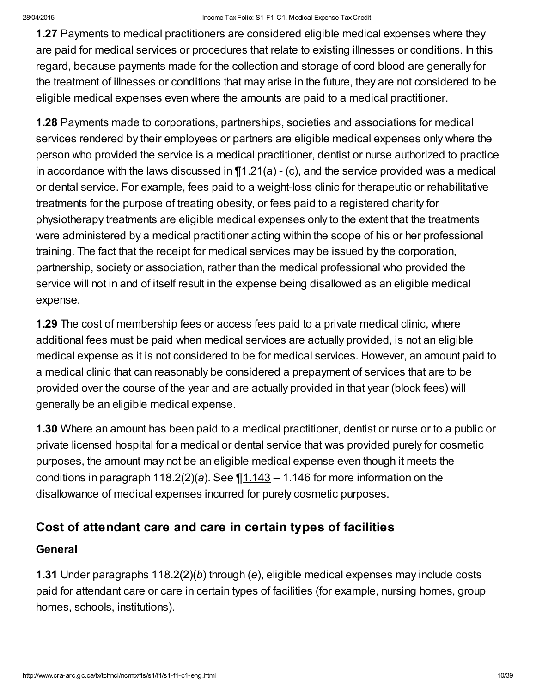#### 28/04/2015 Income TaxFolio: S1-F1-C1, Medical Expense TaxCredit

1.27 Payments to medical practitioners are considered eligible medical expenses where they are paid for medical services or procedures that relate to existing illnesses or conditions. In this regard, because payments made for the collection and storage of cord blood are generally for the treatment of illnesses or conditions that may arise in the future, they are not considered to be eligible medical expenses even where the amounts are paid to a medical practitioner.

1.28 Payments made to corporations, partnerships, societies and associations for medical services rendered by their employees or partners are eligible medical expenses only where the person who provided the service is a medical practitioner, dentist or nurse authorized to practice in accordance with the laws discussed in  $\P$ 1.21(a) - (c), and the service provided was a medical or dental service. For example, fees paid to a weight-loss clinic for therapeutic or rehabilitative treatments for the purpose of treating obesity, or fees paid to a registered charity for physiotherapy treatments are eligible medical expenses only to the extent that the treatments were administered by a medical practitioner acting within the scope of his or her professional training. The fact that the receipt for medical services may be issued by the corporation, partnership, society or association, rather than the medical professional who provided the service will not in and of itself result in the expense being disallowed as an eligible medical expense.

1.29 The cost of membership fees or access fees paid to a private medical clinic, where additional fees must be paid when medical services are actually provided, is not an eligible medical expense as it is not considered to be for medical services. However, an amount paid to a medical clinic that can reasonably be considered a prepayment of services that are to be provided over the course of the year and are actually provided in that year (block fees) will generally be an eligible medical expense.

1.30 Where an amount has been paid to a medical practitioner, dentist or nurse or to a public or private licensed hospital for a medical or dental service that was provided purely for cosmetic purposes, the amount may not be an eligible medical expense even though it meets the conditions in paragraph 118.2(2)(a). See  $\P$ 1.143 – 1.146 for more information on the disallowance of medical expenses incurred for purely cosmetic purposes.

## <span id="page-9-0"></span>Cost of attendant care and care in certain types of facilities

#### General

1.31 Under paragraphs 118.2(2)(b) through (e), eligible medical expenses may include costs paid for attendant care or care in certain types of facilities (for example, nursing homes, group homes, schools, institutions).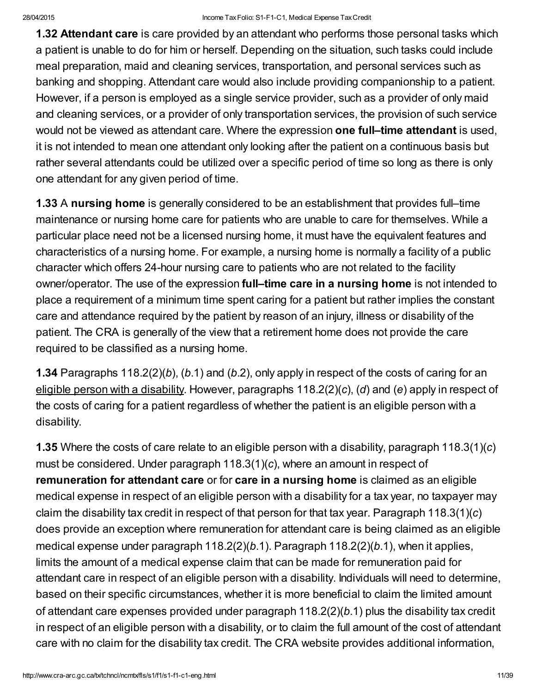1.32 Attendant care is care provided by an attendant who performs those personal tasks which a patient is unable to do for him or herself. Depending on the situation, such tasks could include meal preparation, maid and cleaning services, transportation, and personal services such as banking and shopping. Attendant care would also include providing companionship to a patient. However, if a person is employed as a single service provider, such as a provider of only maid and cleaning services, or a provider of only transportation services, the provision of such service would not be viewed as attendant care. Where the expression one full–time attendant is used, it is not intended to mean one attendant only looking after the patient on a continuous basis but rather several attendants could be utilized over a specific period of time so long as there is only one attendant for any given period of time.

1.33 A nursing home is generally considered to be an establishment that provides full–time maintenance or nursing home care for patients who are unable to care for themselves. While a particular place need not be a licensed nursing home, it must have the equivalent features and characteristics of a nursing home. For example, a nursing home is normally a facility of a public character which offers 24-hour nursing care to patients who are not related to the facility owner/operator. The use of the expression full–time care in a nursing home is not intended to place a requirement of a minimum time spent caring for a patient but rather implies the constant care and attendance required by the patient by reason of an injury, illness or disability of the patient. The CRA is generally of the view that a retirement home does not provide the care required to be classified as a nursing home.

1.34 Paragraphs 118.2(2)(b), (b.1) and (b.2), only apply in respect of the costs of caring for an eligible person with a disability. However, paragraphs  $118.2(2)(c)$ , (d) and (e) apply in respect of the costs of caring for a patient regardless of whether the patient is an eligible person with a disability.

**1.35** Where the costs of care relate to an eligible person with a disability, paragraph 118.3(1)(c) must be considered. Under paragraph 118.3(1)(c), where an amount in respect of remuneration for attendant care or for care in a nursing home is claimed as an eligible medical expense in respect of an eligible person with a disability for a tax year, no taxpayer may claim the disability tax credit in respect of that person for that tax year. Paragraph 118.3(1)(c) does provide an exception where remuneration for attendant care is being claimed as an eligible medical expense under paragraph 118.2(2)(b.1). Paragraph 118.2(2)(b.1), when it applies, limits the amount of a medical expense claim that can be made for remuneration paid for attendant care in respect of an eligible person with a disability. Individuals will need to determine, based on their specific circumstances, whether it is more beneficial to claim the limited amount of attendant care expenses provided under paragraph 118.2(2)(b.1) plus the disability tax credit in respect of an eligible person with a disability, or to claim the full amount of the cost of attendant care with no claim for the disability tax credit. The CRA website provides additional information,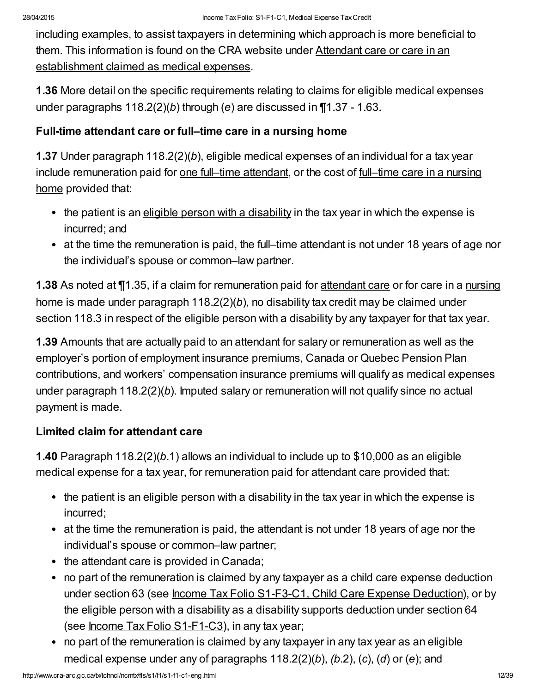including examples, to assist taxpayers in determining which approach is more beneficial to them. This information is found on the CRA website under Attendant care or care in an [establishment](http://www.cra-arc.gc.ca/tx/ndvdls/tpcs/ncm-tx/rtrn/cmpltng/ddctns/lns300-350/330/ttndcr/menu-eng.html) claimed as medical expenses.

**1.36** More detail on the specific requirements relating to claims for eligible medical expenses under paragraphs  $118.2(2)(b)$  through (e) are discussed in  $\P 1.37 - 1.63$ .

#### Full-time attendant care or full–time care in a nursing home

1.37 Under paragraph 118.2(2)(b), eligible medical expenses of an individual for a tax year include remuneration paid for <u>one full–time attendant</u>, or the cost of <u>full–time care in a nursing</u> home provided that:

- the patient is an eligible person with a disability in the tax year in which the expense is incurred; and
- at the time the remuneration is paid, the full–time attendant is not under 18 years of age nor the individual's spouse or common–law partner.

**1.38** As noted at  $\P$ 1.35, if a claim for remuneration paid for attendant care or for care in a nursing home is made under paragraph  $118.2(2)(b)$ , no disability tax credit may be claimed under section 118.3 in respect of the eligible person with a disability by any taxpayer for that tax year.

1.39 Amounts that are actually paid to an attendant for salary or remuneration as well as the employer's portion of employment insurance premiums, Canada or Quebec Pension Plan contributions, and workers' compensation insurance premiums will qualify as medical expenses under paragraph 118.2(2)(b). Imputed salary or remuneration will not qualify since no actual payment is made.

#### Limited claim for attendant care

1.40 Paragraph 118.2(2)(b.1) allows an individual to include up to \$10,000 as an eligible medical expense for a tax year, for remuneration paid for attendant care provided that:

- the patient is an eligible person with a disability in the tax year in which the expense is incurred;
- at the time the remuneration is paid, the attendant is not under 18 years of age nor the individual's spouse or common–law partner;
- the attendant care is provided in Canada;
- no part of the remuneration is claimed by any taxpayer as a child care expense deduction under section 63 (see Income Tax Folio [S1-F3-C1,](http://www.cra-arc.gc.ca/tx/tchncl/ncmtx/fls/s1/f3/s1-f3-c1-eng.html) Child Care Expense Deduction), or by the eligible person with a disability as a disability supports deduction under section 64 (see [Income](http://www.cra-arc.gc.ca/tx/tchncl/ncmtx/fls/s1/f1/s1-f1-c3-eng.html) Tax Folio  $S1-F1-C3$ ), in any tax year;
- no part of the remuneration is claimed by any taxpayer in any tax year as an eligible medical expense under any of paragraphs  $118.2(2)(b)$ ,  $(b.2)$ ,  $(c)$ ,  $(d)$  or  $(e)$ ; and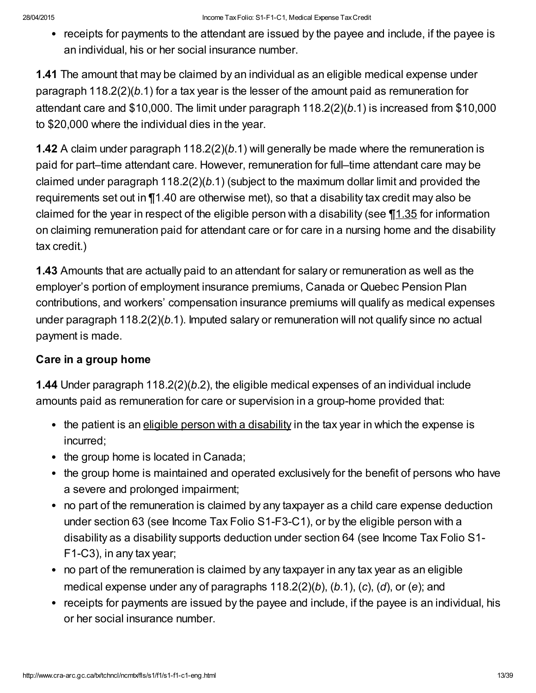• receipts for payments to the attendant are issued by the payee and include, if the payee is an individual, his or her social insurance number.

1.41 The amount that may be claimed by an individual as an eligible medical expense under paragraph 118.2(2)(b.1) for a tax year is the lesser of the amount paid as remuneration for attendant care and \$10,000. The limit under paragraph 118.2(2)(b.1) is increased from \$10,000 to \$20,000 where the individual dies in the year.

**1.42** A claim under paragraph 118.2(2)(b.1) will generally be made where the remuneration is paid for part–time attendant care. However, remuneration for full–time attendant care may be claimed under paragraph 118.2(2)(b.1) (subject to the maximum dollar limit and provided the requirements set out in ¶1.40 are otherwise met), so that a disability tax credit may also be claimed for the year in respect of the eligible person with a disability (see  $\P$ 1.35 for information on claiming remuneration paid for attendant care or for care in a nursing home and the disability tax credit.)

1.43 Amounts that are actually paid to an attendant for salary or remuneration as well as the employer's portion of employment insurance premiums, Canada or Quebec Pension Plan contributions, and workers' compensation insurance premiums will qualify as medical expenses under paragraph 118.2(2)(b.1). Imputed salary or remuneration will not qualify since no actual payment is made.

#### Care in a group home

1.44 Under paragraph 118.2(2)(b.2), the eligible medical expenses of an individual include amounts paid as remuneration for care or supervision in a group-home provided that:

- the patient is an eligible person with a disability in the tax year in which the expense is incurred;
- the group home is located in Canada;
- the group home is maintained and operated exclusively for the benefit of persons who have a severe and prolonged impairment;
- no part of the remuneration is claimed by any taxpayer as a child care expense deduction under section 63 (see Income Tax Folio S1-F3-C1), or by the eligible person with a disability as a disability supports deduction under section 64 (see Income Tax Folio S1- F1-C3), in any tax year;
- no part of the remuneration is claimed by any taxpayer in any tax year as an eligible medical expense under any of paragraphs  $118.2(2)(b)$ ,  $(b.1)$ ,  $(c)$ ,  $(d)$ , or  $(e)$ ; and
- receipts for payments are issued by the payee and include, if the payee is an individual, his or her social insurance number.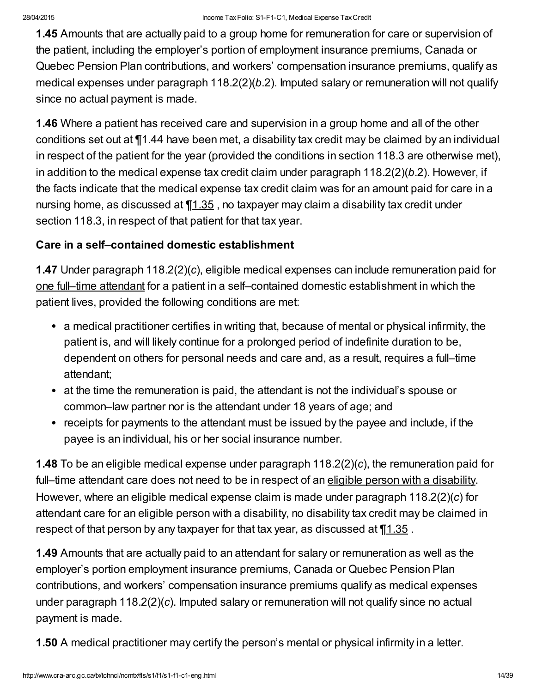1.45 Amounts that are actually paid to a group home for remuneration for care or supervision of the patient, including the employer's portion of employment insurance premiums, Canada or Quebec Pension Plan contributions, and workers' compensation insurance premiums, qualify as medical expenses under paragraph  $118.2(2)(b.2)$ . Imputed salary or remuneration will not qualify since no actual payment is made.

1.46 Where a patient has received care and supervision in a group home and all of the other conditions set out at ¶1.44 have been met, a disability tax credit may be claimed by an individual in respect of the patient for the year (provided the conditions in section 118.3 are otherwise met), in addition to the medical expense tax credit claim under paragraph 118.2(2)(b.2). However, if the facts indicate that the medical expense tax credit claim was for an amount paid for care in a nursing home, as discussed at ¶1.35 , no taxpayer may claim a disability tax credit under section 118.3, in respect of that patient for that tax year.

#### Care in a self–contained domestic establishment

1.47 Under paragraph 118.2(2)(c), eligible medical expenses can include remuneration paid for one full–time attendant for a patient in a self–contained domestic establishment in which the patient lives, provided the following conditions are met:

- a medical practitioner certifies in writing that, because of mental or physical infirmity, the patient is, and will likely continue for a prolonged period of indefinite duration to be, dependent on others for personal needs and care and, as a result, requires a full–time attendant;
- at the time the remuneration is paid, the attendant is not the individual's spouse or common–law partner nor is the attendant under 18 years of age; and
- receipts for payments to the attendant must be issued by the payee and include, if the payee is an individual, his or her social insurance number.

1.48 To be an eligible medical expense under paragraph 118.2(2)(c), the remuneration paid for full–time attendant care does not need to be in respect of an eligible person with a disability. However, where an eligible medical expense claim is made under paragraph 118.2(2)(c) for attendant care for an eligible person with a disability, no disability tax credit may be claimed in respect of that person by any taxpayer for that tax year, as discussed at  $\P$ 1.35.

1.49 Amounts that are actually paid to an attendant for salary or remuneration as well as the employer's portion employment insurance premiums, Canada or Quebec Pension Plan contributions, and workers' compensation insurance premiums qualify as medical expenses under paragraph 118.2(2)(c). Imputed salary or remuneration will not qualify since no actual payment is made.

**1.50** A medical practitioner may certify the person's mental or physical infirmity in a letter.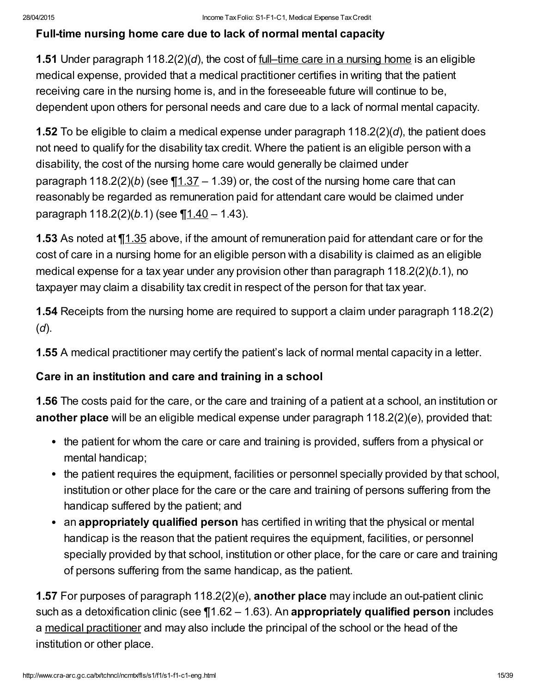#### Full-time nursing home care due to lack of normal mental capacity

**1.51** Under paragraph 118.2(2)(d), the cost of <u>full–time care in a nursing home</u> is an eligible medical expense, provided that a medical practitioner certifies in writing that the patient receiving care in the nursing home is, and in the foreseeable future will continue to be, dependent upon others for personal needs and care due to a lack of normal mental capacity.

**1.52** To be eligible to claim a medical expense under paragraph  $118.2(2)(d)$ , the patient does not need to qualify for the disability tax credit. Where the patient is an eligible person with a disability, the cost of the nursing home care would generally be claimed under paragraph 118.2(2)(b) (see  $\P$ 1.37 – 1.39) or, the cost of the nursing home care that can reasonably be regarded as remuneration paid for attendant care would be claimed under paragraph  $118.2(2)(b.1)$  (see  $\P$ 1.40 – 1.43).

**1.53** As noted at  $\P$ 1.35 above, if the amount of remuneration paid for attendant care or for the cost of care in a nursing home for an eligible person with a disability is claimed as an eligible medical expense for a tax year under any provision other than paragraph 118.2(2)(b.1), no taxpayer may claim a disability tax credit in respect of the person for that tax year.

1.54 Receipts from the nursing home are required to support a claim under paragraph 118.2(2)  $(d)$ .

1.55 A medical practitioner may certify the patient's lack of normal mental capacity in a letter.

#### Care in an institution and care and training in a school

1.56 The costs paid for the care, or the care and training of a patient at a school, an institution or another place will be an eligible medical expense under paragraph  $118.2(2)(e)$ , provided that:

- the patient for whom the care or care and training is provided, suffers from a physical or mental handicap;
- the patient requires the equipment, facilities or personnel specially provided by that school, institution or other place for the care or the care and training of persons suffering from the handicap suffered by the patient; and
- an appropriately qualified person has certified in writing that the physical or mental handicap is the reason that the patient requires the equipment, facilities, or personnel specially provided by that school, institution or other place, for the care or care and training of persons suffering from the same handicap, as the patient.

1.57 For purposes of paragraph 118.2(2)(e), another place may include an out-patient clinic such as a detoxification clinic (see  $\P$ 1.62 – 1.63). An appropriately qualified person includes a medical practitioner and may also include the principal of the school or the head of the institution or other place.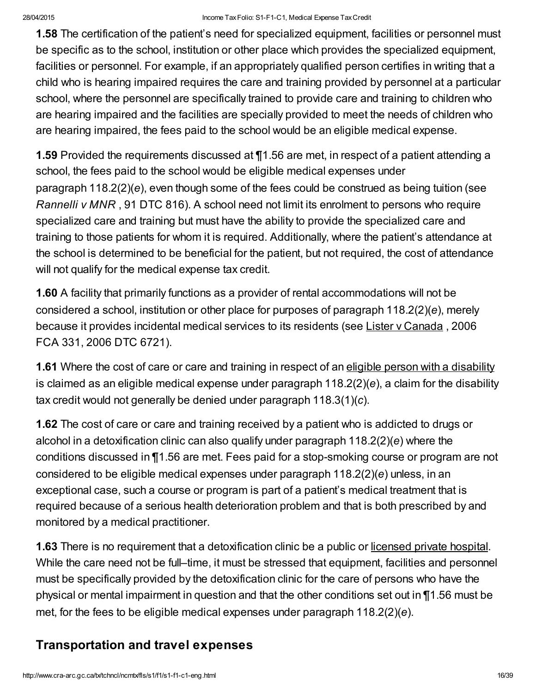1.58 The certification of the patient's need for specialized equipment, facilities or personnel must be specific as to the school, institution or other place which provides the specialized equipment, facilities or personnel. For example, if an appropriately qualified person certifies in writing that a child who is hearing impaired requires the care and training provided by personnel at a particular school, where the personnel are specifically trained to provide care and training to children who are hearing impaired and the facilities are specially provided to meet the needs of children who are hearing impaired, the fees paid to the school would be an eligible medical expense.

1.59 Provided the requirements discussed at ¶1.56 are met, in respect of a patient attending a school, the fees paid to the school would be eligible medical expenses under paragraph 118.2(2)(e), even though some of the fees could be construed as being tuition (see Rannelli v MNR , 91 DTC 816). A school need not limit its enrolment to persons who require specialized care and training but must have the ability to provide the specialized care and training to those patients for whom it is required. Additionally, where the patient's attendance at the school is determined to be beneficial for the patient, but not required, the cost of attendance will not qualify for the medical expense tax credit.

1.60 A facility that primarily functions as a provider of rental accommodations will not be considered a school, institution or other place for purposes of paragraph 118.2(2)(e), merely because it provides incidental medical services to its residents (see Lister v [Canada](http://canlii.ca/t/1ptmd) , 2006 FCA 331, 2006 DTC 6721).

**1.61** Where the cost of care or care and training in respect of an eligible person with a disability is claimed as an eligible medical expense under paragraph  $118.2(2)(e)$ , a claim for the disability tax credit would not generally be denied under paragraph 118.3(1)(c).

1.62 The cost of care or care and training received by a patient who is addicted to drugs or alcohol in a detoxification clinic can also qualify under paragraph 118.2(2)(e) where the conditions discussed in ¶1.56 are met. Fees paid for a stop-smoking course or program are not considered to be eligible medical expenses under paragraph 118.2(2)(e) unless, in an exceptional case, such a course or program is part of a patient's medical treatment that is required because of a serious health deterioration problem and that is both prescribed by and monitored by a medical practitioner.

1.63 There is no requirement that a detoxification clinic be a public or licensed private hospital. While the care need not be full–time, it must be stressed that equipment, facilities and personnel must be specifically provided by the detoxification clinic for the care of persons who have the physical or mental impairment in question and that the other conditions set out in ¶1.56 must be met, for the fees to be eligible medical expenses under paragraph 118.2(2)(e).

## <span id="page-15-0"></span>Transportation and travel expenses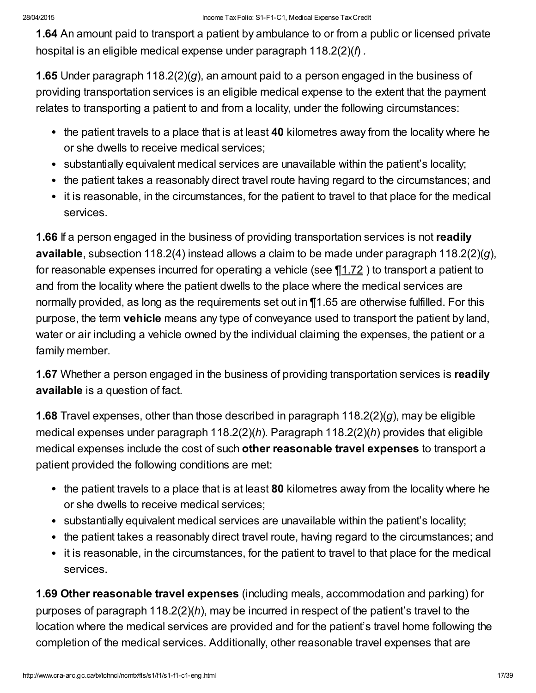1.64 An amount paid to transport a patient by ambulance to or from a public or licensed private hospital is an eligible medical expense under paragraph 118.2(2)(f) .

**1.65** Under paragraph 118.2(2)(g), an amount paid to a person engaged in the business of providing transportation services is an eligible medical expense to the extent that the payment relates to transporting a patient to and from a locality, under the following circumstances:

- the patient travels to a place that is at least 40 kilometres away from the locality where he or she dwells to receive medical services;
- substantially equivalent medical services are unavailable within the patient's locality;
- the patient takes a reasonably direct travel route having regard to the circumstances; and
- it is reasonable, in the circumstances, for the patient to travel to that place for the medical services.

1.66 If a person engaged in the business of providing transportation services is not readily available, subsection 118.2(4) instead allows a claim to be made under paragraph 118.2(2)(g), for reasonable expenses incurred for operating a vehicle (see ¶1.72 ) to transport a patient to and from the locality where the patient dwells to the place where the medical services are normally provided, as long as the requirements set out in ¶1.65 are otherwise fulfilled. For this purpose, the term vehicle means any type of conveyance used to transport the patient by land, water or air including a vehicle owned by the individual claiming the expenses, the patient or a family member.

**1.67** Whether a person engaged in the business of providing transportation services is readily available is a question of fact.

**1.68** Travel expenses, other than those described in paragraph 118.2(2)(g), may be eligible medical expenses under paragraph  $118.2(2)(h)$ . Paragraph  $118.2(2)(h)$  provides that eligible medical expenses include the cost of such other reasonable travel expenses to transport a patient provided the following conditions are met:

- the patient travels to a place that is at least 80 kilometres away from the locality where he or she dwells to receive medical services;
- substantially equivalent medical services are unavailable within the patient's locality;
- the patient takes a reasonably direct travel route, having regard to the circumstances; and
- it is reasonable, in the circumstances, for the patient to travel to that place for the medical services.

1.69 Other reasonable travel expenses (including meals, accommodation and parking) for purposes of paragraph  $118.2(2)$ (h), may be incurred in respect of the patient's travel to the location where the medical services are provided and for the patient's travel home following the completion of the medical services. Additionally, other reasonable travel expenses that are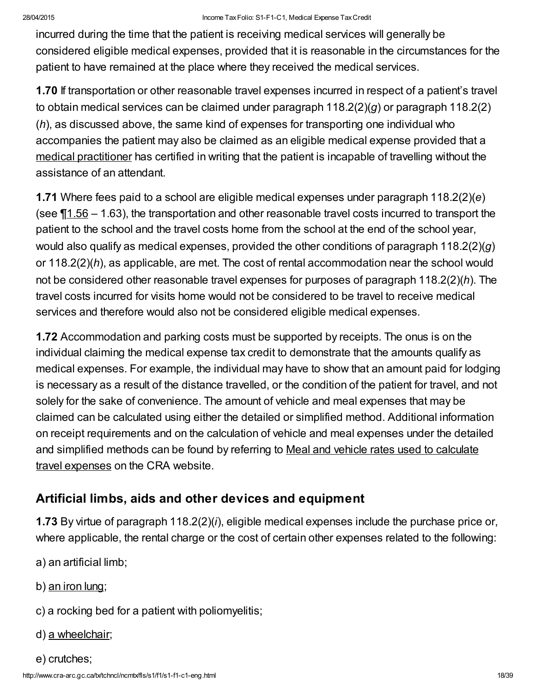#### 28/04/2015 Income TaxFolio: S1-F1-C1, Medical Expense TaxCredit

incurred during the time that the patient is receiving medical services will generally be considered eligible medical expenses, provided that it is reasonable in the circumstances for the patient to have remained at the place where they received the medical services.

1.70 If transportation or other reasonable travel expenses incurred in respect of a patient's travel to obtain medical services can be claimed under paragraph  $118.2(2)(g)$  or paragraph  $118.2(2)$ (h), as discussed above, the same kind of expenses for transporting one individual who accompanies the patient may also be claimed as an eligible medical expense provided that a medical practitioner has certified in writing that the patient is incapable of travelling without the assistance of an attendant.

1.71 Where fees paid to a school are eligible medical expenses under paragraph 118.2(2)(e) (see ¶1.56 – 1.63), the transportation and other reasonable travel costs incurred to transport the patient to the school and the travel costs home from the school at the end of the school year, would also qualify as medical expenses, provided the other conditions of paragraph  $118.2(2)(g)$ or 118.2(2)(h), as applicable, are met. The cost of rental accommodation near the school would not be considered other reasonable travel expenses for purposes of paragraph 118.2(2)(h). The travel costs incurred for visits home would not be considered to be travel to receive medical services and therefore would also not be considered eligible medical expenses.

1.72 Accommodation and parking costs must be supported by receipts. The onus is on the individual claiming the medical expense tax credit to demonstrate that the amounts qualify as medical expenses. For example, the individual may have to show that an amount paid for lodging is necessary as a result of the distance travelled, or the condition of the patient for travel, and not solely for the sake of convenience. The amount of vehicle and meal expenses that may be claimed can be calculated using either the detailed or simplified method. Additional information on receipt requirements and on the calculation of vehicle and meal expenses under the detailed and [simplified](http://www.cra-arc.gc.ca/tx/ndvdls/tpcs/ncm-tx/rtrn/cmpltng/ddctns/lns248-260/255/rts-eng.html) methods can be found by referring to Meal and vehicle rates used to calculate travel expenses on the CRA website.

## <span id="page-17-0"></span>Artificial limbs, aids and other devices and equipment

1.73 By virtue of paragraph 118.2(2)(i), eligible medical expenses include the purchase price or, where applicable, the rental charge or the cost of certain other expenses related to the following:

a) an artificial limb;

b) an iron lung;

c) a rocking bed for a patient with poliomyelitis;

d) a wheelchair;

e) crutches;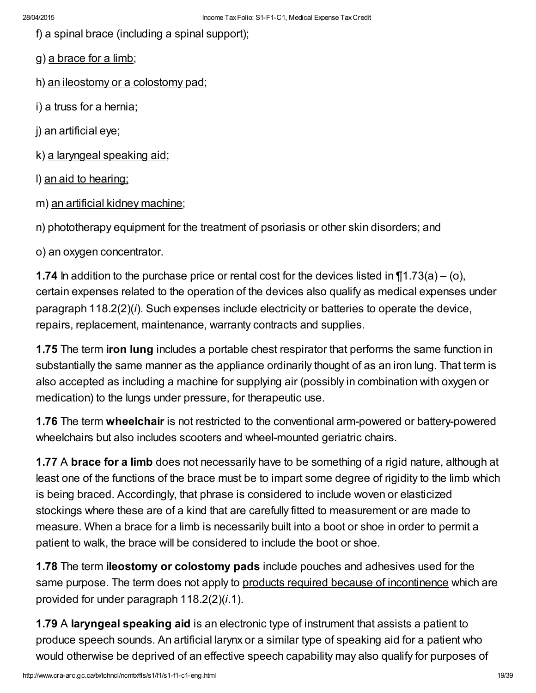f) a spinal brace (including a spinal support);

g) a brace for a limb;

h) an ileostomy or a colostomy pad;

i) a truss for a hernia;

j) an artificial eye;

k) a laryngeal speaking aid;

l) an aid to hearing;

m) an artificial kidney machine;

n) phototherapy equipment for the treatment of psoriasis or other skin disorders; and

o) an oxygen concentrator.

**1.74** In addition to the purchase price or rental cost for the devices listed in  $\P$ 1.73(a) – (o), certain expenses related to the operation of the devices also qualify as medical expenses under paragraph 118.2(2)(i). Such expenses include electricity or batteries to operate the device, repairs, replacement, maintenance, warranty contracts and supplies.

**1.75** The term iron lung includes a portable chest respirator that performs the same function in substantially the same manner as the appliance ordinarily thought of as an iron lung. That term is also accepted as including a machine for supplying air (possibly in combination with oxygen or medication) to the lungs under pressure, for therapeutic use.

1.76 The term wheelchair is not restricted to the conventional arm-powered or battery-powered wheelchairs but also includes scooters and wheel-mounted geriatric chairs.

**1.77 A brace for a limb** does not necessarily have to be something of a rigid nature, although at least one of the functions of the brace must be to impart some degree of rigidity to the limb which is being braced. Accordingly, that phrase is considered to include woven or elasticized stockings where these are of a kind that are carefully fitted to measurement or are made to measure. When a brace for a limb is necessarily built into a boot or shoe in order to permit a patient to walk, the brace will be considered to include the boot or shoe.

1.78 The term ileostomy or colostomy pads include pouches and adhesives used for the same purpose. The term does not apply to products required because of incontinence which are provided for under paragraph 118.2(2)(i.1).

**1.79 A laryngeal speaking aid** is an electronic type of instrument that assists a patient to produce speech sounds. An artificial larynx or a similar type of speaking aid for a patient who would otherwise be deprived of an effective speech capability may also qualify for purposes of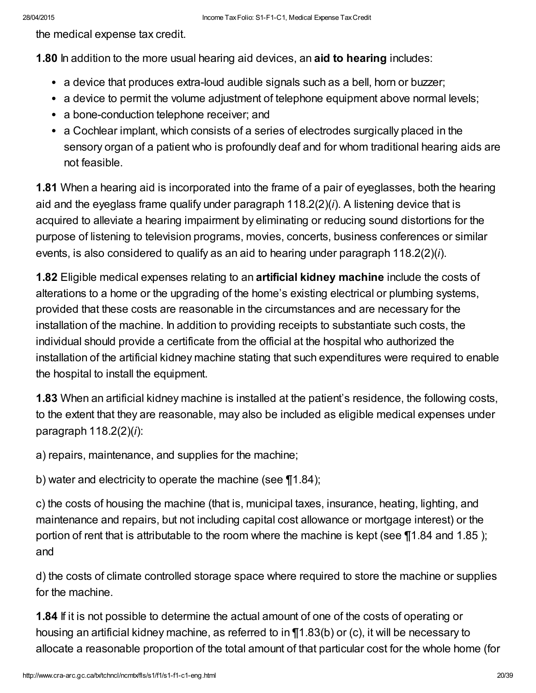the medical expense tax credit.

**1.80** In addition to the more usual hearing aid devices, an **aid to hearing** includes:

- a device that produces extra-loud audible signals such as a bell, horn or buzzer;
- a device to permit the volume adjustment of telephone equipment above normal levels;
- a bone-conduction telephone receiver; and
- a Cochlear implant, which consists of a series of electrodes surgically placed in the sensory organ of a patient who is profoundly deaf and for whom traditional hearing aids are not feasible.

1.81 When a hearing aid is incorporated into the frame of a pair of eyeglasses, both the hearing aid and the eyeglass frame qualify under paragraph  $118.2(2)(i)$ . A listening device that is acquired to alleviate a hearing impairment by eliminating or reducing sound distortions for the purpose of listening to television programs, movies, concerts, business conferences or similar events, is also considered to qualify as an aid to hearing under paragraph 118.2(2)(i).

1.82 Eligible medical expenses relating to an artificial kidney machine include the costs of alterations to a home or the upgrading of the home's existing electrical or plumbing systems, provided that these costs are reasonable in the circumstances and are necessary for the installation of the machine. In addition to providing receipts to substantiate such costs, the individual should provide a certificate from the official at the hospital who authorized the installation of the artificial kidney machine stating that such expenditures were required to enable the hospital to install the equipment.

1.83 When an artificial kidney machine is installed at the patient's residence, the following costs, to the extent that they are reasonable, may also be included as eligible medical expenses under paragraph  $118.2(2)(i)$ :

a) repairs, maintenance, and supplies for the machine;

b) water and electricity to operate the machine (see ¶1.84);

c) the costs of housing the machine (that is, municipal taxes, insurance, heating, lighting, and maintenance and repairs, but not including capital cost allowance or mortgage interest) or the portion of rent that is attributable to the room where the machine is kept (see ¶1.84 and 1.85 ); and

d) the costs of climate controlled storage space where required to store the machine or supplies for the machine.

1.84 If it is not possible to determine the actual amount of one of the costs of operating or housing an artificial kidney machine, as referred to in ¶1.83(b) or (c), it will be necessary to allocate a reasonable proportion of the total amount of that particular cost for the whole home (for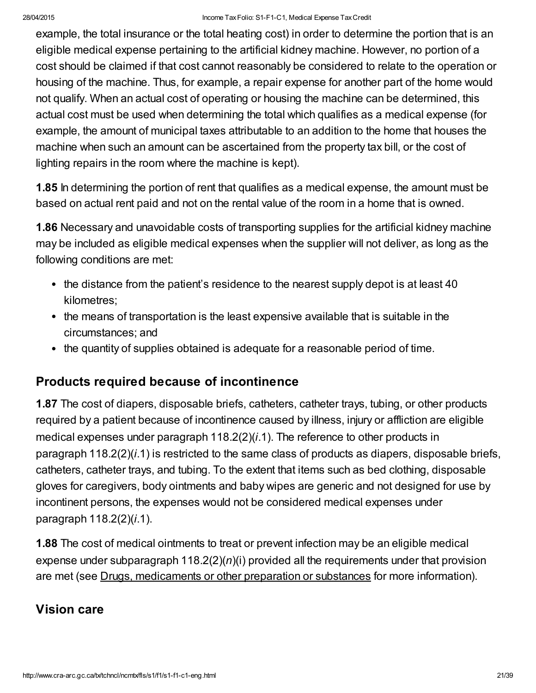example, the total insurance or the total heating cost) in order to determine the portion that is an eligible medical expense pertaining to the artificial kidney machine. However, no portion of a cost should be claimed if that cost cannot reasonably be considered to relate to the operation or housing of the machine. Thus, for example, a repair expense for another part of the home would not qualify. When an actual cost of operating or housing the machine can be determined, this actual cost must be used when determining the total which qualifies as a medical expense (for example, the amount of municipal taxes attributable to an addition to the home that houses the machine when such an amount can be ascertained from the property tax bill, or the cost of lighting repairs in the room where the machine is kept).

1.85 In determining the portion of rent that qualifies as a medical expense, the amount must be based on actual rent paid and not on the rental value of the room in a home that is owned.

1.86 Necessary and unavoidable costs of transporting supplies for the artificial kidney machine may be included as eligible medical expenses when the supplier will not deliver, as long as the following conditions are met:

- the distance from the patient's residence to the nearest supply depot is at least 40 kilometres;
- the means of transportation is the least expensive available that is suitable in the circumstances; and
- the quantity of supplies obtained is adequate for a reasonable period of time.

#### <span id="page-20-0"></span>Products required because of incontinence

1.87 The cost of diapers, disposable briefs, catheters, catheter trays, tubing, or other products required by a patient because of incontinence caused by illness, injury or affliction are eligible medical expenses under paragraph  $118.2(2)(i.1)$ . The reference to other products in paragraph  $118.2(2)(i.1)$  is restricted to the same class of products as diapers, disposable briefs, catheters, catheter trays, and tubing. To the extent that items such as bed clothing, disposable gloves for caregivers, body ointments and baby wipes are generic and not designed for use by incontinent persons, the expenses would not be considered medical expenses under paragraph  $118.2(2)(i.1)$ .

1.88 The cost of medical ointments to treat or prevent infection may be an eligible medical expense under subparagraph  $118.2(2)(n)(i)$  provided all the requirements under that provision are met (see Drugs, [medicaments](#page-31-1) or other preparation or substances for more information).

#### <span id="page-20-1"></span>Vision care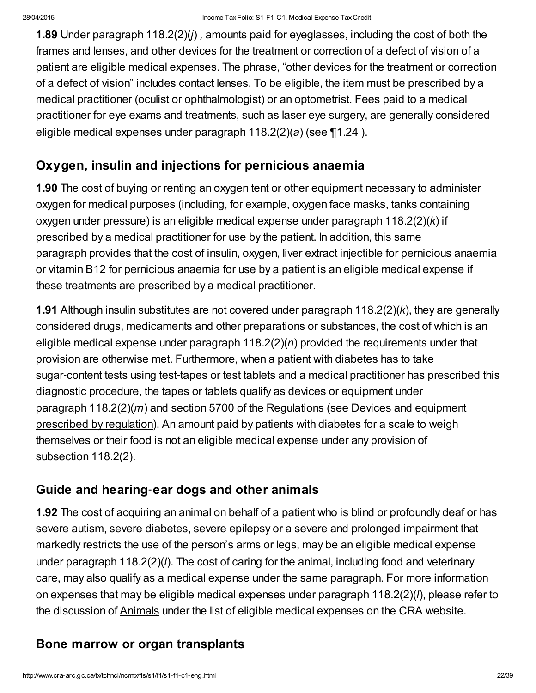1.89 Under paragraph 118.2(2)(j) , amounts paid for eyeglasses, including the cost of both the frames and lenses, and other devices for the treatment or correction of a defect of vision of a patient are eligible medical expenses. The phrase, "other devices for the treatment or correction of a defect of vision" includes contact lenses. To be eligible, the item must be prescribed by a medical practitioner (oculist or ophthalmologist) or an optometrist. Fees paid to a medical practitioner for eye exams and treatments, such as laser eye surgery, are generally considered eligible medical expenses under paragraph  $118.2(2)(a)$  (see  $\P$ 1.24).

## <span id="page-21-1"></span>Oxygen, insulin and injections for pernicious anaemia

<span id="page-21-3"></span>1.90 The cost of buying or renting an oxygen tent or other equipment necessary to administer oxygen for medical purposes (including, for example, oxygen face masks, tanks containing oxygen under pressure) is an eligible medical expense under paragraph  $118.2(2)(k)$  if prescribed by a medical practitioner for use by the patient. In addition, this same paragraph provides that the cost of insulin, oxygen, liver extract injectible for pernicious anaemia or vitamin B12 for pernicious anaemia for use by a patient is an eligible medical expense if these treatments are prescribed by a medical practitioner.

**1.91** Although insulin substitutes are not covered under paragraph  $118.2(2)(k)$ , they are generally considered drugs, medicaments and other preparations or substances, the cost of which is an eligible medical expense under paragraph  $118.2(2)(n)$  provided the requirements under that provision are otherwise met. Furthermore, when a patient with diabetes has to take sugar-content tests using test-tapes or test tablets and a medical practitioner has prescribed this diagnostic procedure, the tapes or tablets qualify as devices or equipment under paragraph 118.2(2)(m) and section 5700 of the Regulations (see Devices and equipment prescribed by regulation). An amount paid by patients with diabetes for a scale to weigh themselves or their food is not an eligible medical expense under any provision of subsection 118.2(2).

## <span id="page-21-2"></span>Guide and hearing‑ear dogs and other animals

1.92 The cost of acquiring an animal on behalf of a patient who is blind or profoundly deaf or has severe autism, severe diabetes, severe epilepsy or a severe and prolonged impairment that markedly restricts the use of the person's arms or legs, may be an eligible medical expense under paragraph 118.2(2)(*l*). The cost of caring for the animal, including food and veterinary care, may also qualify as a medical expense under the same paragraph. For more information on expenses that may be eligible medical expenses under paragraph 118.2(2)(l), please refer to the discussion of [Animals](http://www.cra-arc.gc.ca/tx/ndvdls/tpcs/ncm-tx/rtrn/cmpltng/ddctns/lns300-350/330/llwxpns-eng.html#animal) under the list of eligible medical expenses on the CRA website.

## <span id="page-21-0"></span>Bone marrow or organ transplants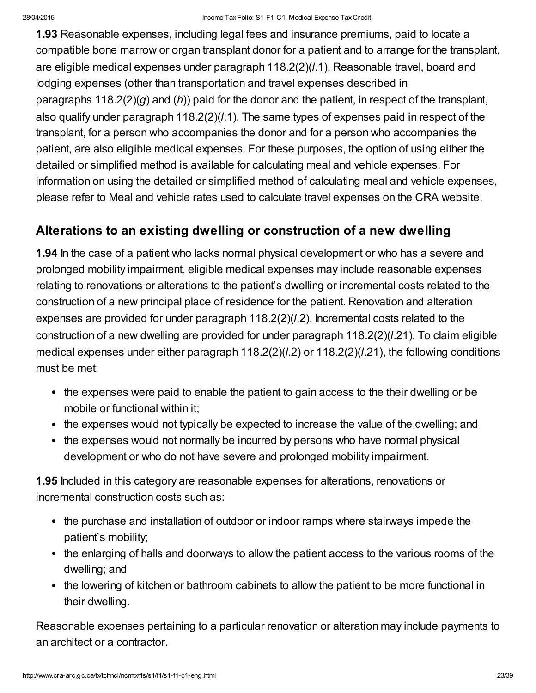1.93 Reasonable expenses, including legal fees and insurance premiums, paid to locate a compatible bone marrow or organ transplant donor for a patient and to arrange for the transplant, are eligible medical expenses under paragraph 118.2(2)(l.1). Reasonable travel, board and lodging expenses (other than transportation and travel expenses described in paragraphs 118.2(2)(g) and (h)) paid for the donor and the patient, in respect of the transplant, also qualify under paragraph  $118.2(2)(1.1)$ . The same types of expenses paid in respect of the transplant, for a person who accompanies the donor and for a person who accompanies the patient, are also eligible medical expenses. For these purposes, the option of using either the detailed or simplified method is available for calculating meal and vehicle expenses. For information on using the detailed or simplified method of calculating meal and vehicle expenses, please refer to Meal and vehicle rates used to calculate travel [expenses](http://www.cra-arc.gc.ca/tx/ndvdls/tpcs/ncm-tx/rtrn/cmpltng/ddctns/lns248-260/255/rts-eng.html) on the CRA website.

## <span id="page-22-0"></span>Alterations to an existing dwelling or construction of a new dwelling

1.94 In the case of a patient who lacks normal physical development or who has a severe and prolonged mobility impairment, eligible medical expenses may include reasonable expenses relating to renovations or alterations to the patient's dwelling or incremental costs related to the construction of a new principal place of residence for the patient. Renovation and alteration expenses are provided for under paragraph 118.2(2)(l.2). Incremental costs related to the construction of a new dwelling are provided for under paragraph 118.2(2)(l.21). To claim eligible medical expenses under either paragraph  $118.2(2)(1.2)$  or  $118.2(2)(1.21)$ , the following conditions must be met:

- the expenses were paid to enable the patient to gain access to the their dwelling or be mobile or functional within it;
- the expenses would not typically be expected to increase the value of the dwelling; and
- the expenses would not normally be incurred by persons who have normal physical development or who do not have severe and prolonged mobility impairment.

1.95 Included in this category are reasonable expenses for alterations, renovations or incremental construction costs such as:

- the purchase and installation of outdoor or indoor ramps where stairways impede the patient's mobility;
- the enlarging of halls and doorways to allow the patient access to the various rooms of the dwelling; and
- the lowering of kitchen or bathroom cabinets to allow the patient to be more functional in their dwelling.

Reasonable expenses pertaining to a particular renovation or alteration may include payments to an architect or a contractor.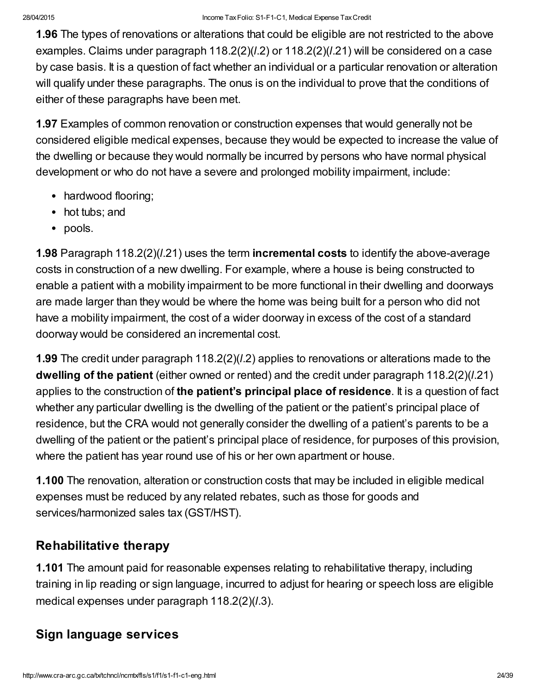1.96 The types of renovations or alterations that could be eligible are not restricted to the above examples. Claims under paragraph  $118.2(2)(1.2)$  or  $118.2(2)(1.21)$  will be considered on a case by case basis. It is a question of fact whether an individual or a particular renovation or alteration will qualify under these paragraphs. The onus is on the individual to prove that the conditions of either of these paragraphs have been met.

1.97 Examples of common renovation or construction expenses that would generally not be considered eligible medical expenses, because they would be expected to increase the value of the dwelling or because they would normally be incurred by persons who have normal physical development or who do not have a severe and prolonged mobility impairment, include:

- hardwood flooring;
- hot tubs; and
- pools.

1.98 Paragraph 118.2(2)(1.21) uses the term **incremental costs** to identify the above-average costs in construction of a new dwelling. For example, where a house is being constructed to enable a patient with a mobility impairment to be more functional in their dwelling and doorways are made larger than they would be where the home was being built for a person who did not have a mobility impairment, the cost of a wider doorway in excess of the cost of a standard doorway would be considered an incremental cost.

**1.99** The credit under paragraph 118.2(2)(*l.*2) applies to renovations or alterations made to the dwelling of the patient (either owned or rented) and the credit under paragraph 118.2(2)(*l.*21) applies to the construction of the patient's principal place of residence. It is a question of fact whether any particular dwelling is the dwelling of the patient or the patient's principal place of residence, but the CRA would not generally consider the dwelling of a patient's parents to be a dwelling of the patient or the patient's principal place of residence, for purposes of this provision, where the patient has year round use of his or her own apartment or house.

1.100 The renovation, alteration or construction costs that may be included in eligible medical expenses must be reduced by any related rebates, such as those for goods and services/harmonized sales tax (GST/HST).

## <span id="page-23-1"></span>Rehabilitative therapy

1.101 The amount paid for reasonable expenses relating to rehabilitative therapy, including training in lip reading or sign language, incurred to adjust for hearing or speech loss are eligible medical expenses under paragraph 118.2(2)(l.3).

## <span id="page-23-0"></span>Sign language services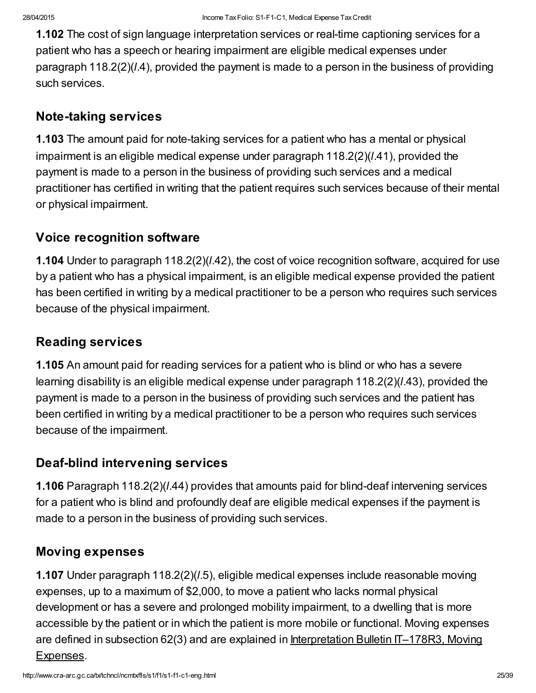1.102 The cost of sign language interpretation services or real-time captioning services for a patient who has a speech or hearing impairment are eligible medical expenses under paragraph 118.2(2)(l.4), provided the payment is made to a person in the business of providing such services.

#### <span id="page-24-4"></span>Note-taking services

1.103 The amount paid for note-taking services for a patient who has a mental or physical impairment is an eligible medical expense under paragraph 118.2(2)(l.41), provided the payment is made to a person in the business of providing such services and a medical practitioner has certified in writing that the patient requires such services because of their mental or physical impairment.

#### <span id="page-24-0"></span>Voice recognition software

1.104 Under to paragraph 118.2(2)(l.42), the cost of voice recognition software, acquired for use by a patient who has a physical impairment, is an eligible medical expense provided the patient has been certified in writing by a medical practitioner to be a person who requires such services because of the physical impairment.

## <span id="page-24-3"></span>Reading services

1.105 An amount paid for reading services for a patient who is blind or who has a severe learning disability is an eligible medical expense under paragraph 118.2(2)(l.43), provided the payment is made to a person in the business of providing such services and the patient has been certified in writing by a medical practitioner to be a person who requires such services because of the impairment.

## <span id="page-24-1"></span>Deaf-blind intervening services

1.106 Paragraph 118.2(2)(l.44) provides that amounts paid for blind-deaf intervening services for a patient who is blind and profoundly deaf are eligible medical expenses if the payment is made to a person in the business of providing such services.

## <span id="page-24-2"></span>Moving expenses

1.107 Under paragraph 118.2(2)(*l.*5), eligible medical expenses include reasonable moving expenses, up to a maximum of \$2,000, to move a patient who lacks normal physical development or has a severe and prolonged mobility impairment, to a dwelling that is more accessible by the patient or in which the patient is more mobile or functional. Moving expenses are defined in subsection 62(3) and are explained in [Interpretation](http://www.cra-arc.gc.ca/E/pub/tp/it178r3-consolid/README.html) Bulletin IT-178R3, Moving Expenses.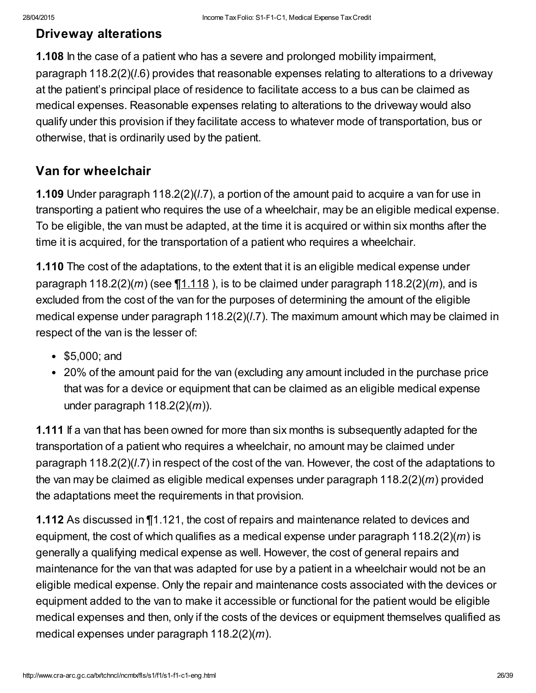#### <span id="page-25-0"></span>Driveway alterations

1.108 In the case of a patient who has a severe and prolonged mobility impairment, paragraph 118.2(2)(l.6) provides that reasonable expenses relating to alterations to a driveway at the patient's principal place of residence to facilitate access to a bus can be claimed as medical expenses. Reasonable expenses relating to alterations to the driveway would also qualify under this provision if they facilitate access to whatever mode of transportation, bus or otherwise, that is ordinarily used by the patient.

#### <span id="page-25-1"></span>Van for wheelchair

1.109 Under paragraph 118.2(2)(1.7), a portion of the amount paid to acquire a van for use in transporting a patient who requires the use of a wheelchair, may be an eligible medical expense. To be eligible, the van must be adapted, at the time it is acquired or within six months after the time it is acquired, for the transportation of a patient who requires a wheelchair.

1.110 The cost of the adaptations, to the extent that it is an eligible medical expense under paragraph 118.2(2)(*m*) (see  $\P$ 1.118), is to be claimed under paragraph 118.2(2)(*m*), and is excluded from the cost of the van for the purposes of determining the amount of the eligible medical expense under paragraph 118.2(2)(*l.7*). The maximum amount which may be claimed in respect of the van is the lesser of:

- \$5,000; and
- 20% of the amount paid for the van (excluding any amount included in the purchase price that was for a device or equipment that can be claimed as an eligible medical expense under paragraph  $118.2(2)(m)$ ).

1.111 If a van that has been owned for more than six months is subsequently adapted for the transportation of a patient who requires a wheelchair, no amount may be claimed under paragraph 118.2(2)(l.7) in respect of the cost of the van. However, the cost of the adaptations to the van may be claimed as eligible medical expenses under paragraph  $118.2(2)(m)$  provided the adaptations meet the requirements in that provision.

1.112 As discussed in ¶1.121, the cost of repairs and maintenance related to devices and equipment, the cost of which qualifies as a medical expense under paragraph  $118.2(2)(m)$  is generally a qualifying medical expense as well. However, the cost of general repairs and maintenance for the van that was adapted for use by a patient in a wheelchair would not be an eligible medical expense. Only the repair and maintenance costs associated with the devices or equipment added to the van to make it accessible or functional for the patient would be eligible medical expenses and then, only if the costs of the devices or equipment themselves qualified as medical expenses under paragraph  $118.2(2)(m)$ .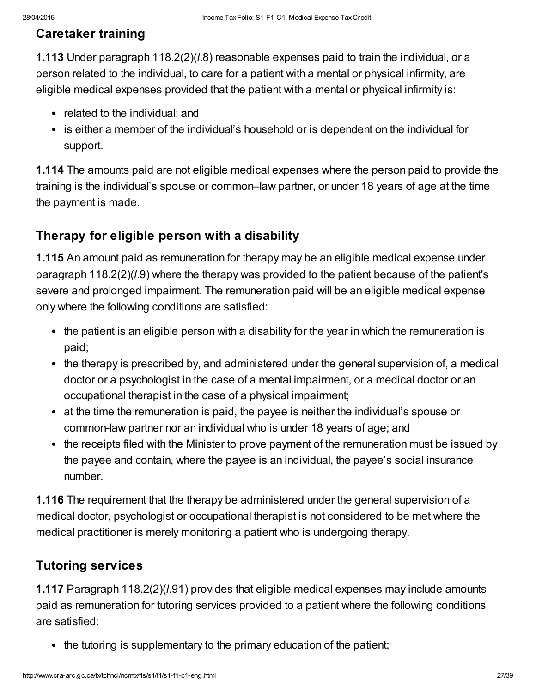#### <span id="page-26-0"></span>Caretaker training

1.113 Under paragraph 118.2(2)(*l.*8) reasonable expenses paid to train the individual, or a person related to the individual, to care for a patient with a mental or physical infirmity, are eligible medical expenses provided that the patient with a mental or physical infirmity is:

- related to the individual; and
- is either a member of the individual's household or is dependent on the individual for support.

1.114 The amounts paid are not eligible medical expenses where the person paid to provide the training is the individual's spouse or common–law partner, or under 18 years of age at the time the payment is made.

## <span id="page-26-2"></span>Therapy for eligible person with a disability

1.115 An amount paid as remuneration for therapy may be an eligible medical expense under paragraph 118.2(2)(l.9) where the therapy was provided to the patient because of the patient's severe and prolonged impairment. The remuneration paid will be an eligible medical expense only where the following conditions are satisfied:

- the patient is an eligible person with a disability for the year in which the remuneration is paid;
- the therapy is prescribed by, and administered under the general supervision of, a medical doctor or a psychologist in the case of a mental impairment, or a medical doctor or an occupational therapist in the case of a physical impairment;
- at the time the remuneration is paid, the payee is neither the individual's spouse or common-law partner nor an individual who is under 18 years of age; and
- the receipts filed with the Minister to prove payment of the remuneration must be issued by the payee and contain, where the payee is an individual, the payee's social insurance number.

1.116 The requirement that the therapy be administered under the general supervision of a medical doctor, psychologist or occupational therapist is not considered to be met where the medical practitioner is merely monitoring a patient who is undergoing therapy.

## <span id="page-26-1"></span>Tutoring services

1.117 Paragraph 118.2(2)(l.91) provides that eligible medical expenses may include amounts paid as remuneration for tutoring services provided to a patient where the following conditions are satisfied:

• the tutoring is supplementary to the primary education of the patient;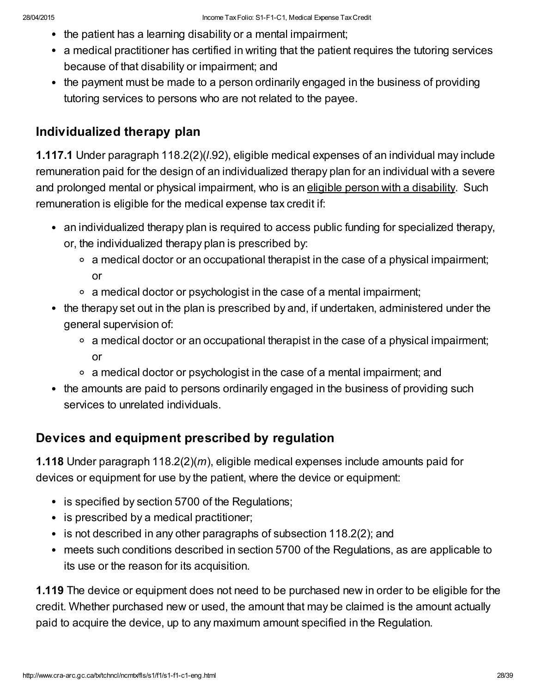- the patient has a learning disability or a mental impairment;
- a medical practitioner has certified in writing that the patient requires the tutoring services because of that disability or impairment; and
- the payment must be made to a person ordinarily engaged in the business of providing tutoring services to persons who are not related to the payee.

#### <span id="page-27-0"></span>Individualized therapy plan

1.117.1 Under paragraph 118.2(2)(l.92), eligible medical expenses of an individual may include remuneration paid for the design of an individualized therapy plan for an individual with a severe and prolonged mental or physical impairment, who is an eligible person with a [disability.](#page-4-1) Such remuneration is eligible for the medical expense tax credit if:

- an individualized therapy plan is required to access public funding for specialized therapy, or, the individualized therapy plan is prescribed by:
	- $\circ$  a medical doctor or an occupational therapist in the case of a physical impairment; or
	- $\circ$  a medical doctor or psychologist in the case of a mental impairment;
- the therapy set out in the plan is prescribed by and, if undertaken, administered under the general supervision of:
	- $\circ$  a medical doctor or an occupational therapist in the case of a physical impairment; or
	- a medical doctor or psychologist in the case of a mental impairment; and
- the amounts are paid to persons ordinarily engaged in the business of providing such services to unrelated individuals.

## <span id="page-27-1"></span>Devices and equipment prescribed by regulation

**1.118** Under paragraph 118.2(2)( $m$ ), eligible medical expenses include amounts paid for devices or equipment for use by the patient, where the device or equipment:

- is specified by section 5700 of the Regulations;
- is prescribed by a medical practitioner;
- is not described in any other paragraphs of subsection 118.2(2); and
- meets such conditions described in section 5700 of the Regulations, as are applicable to its use or the reason for its acquisition.

1.119 The device or equipment does not need to be purchased new in order to be eligible for the credit. Whether purchased new or used, the amount that may be claimed is the amount actually paid to acquire the device, up to any maximum amount specified in the Regulation.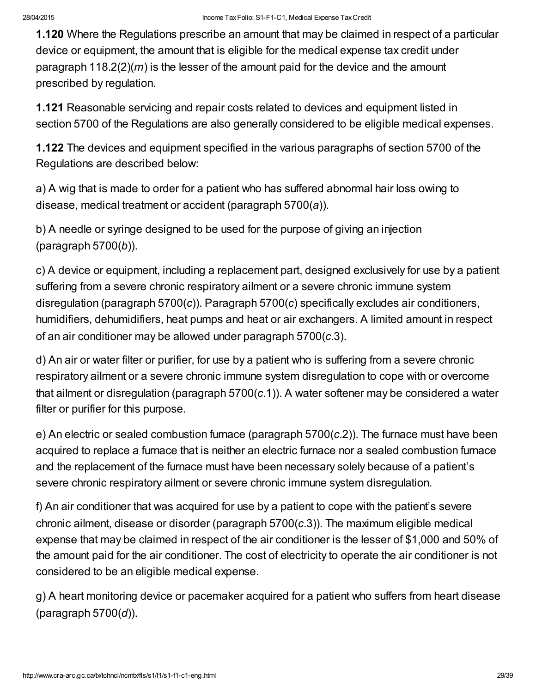1.120 Where the Regulations prescribe an amount that may be claimed in respect of a particular device or equipment, the amount that is eligible for the medical expense tax credit under paragraph  $118.2(2)(m)$  is the lesser of the amount paid for the device and the amount prescribed by regulation.

1.121 Reasonable servicing and repair costs related to devices and equipment listed in section 5700 of the Regulations are also generally considered to be eligible medical expenses.

1.122 The devices and equipment specified in the various paragraphs of section 5700 of the Regulations are described below:

a) A wig that is made to order for a patient who has suffered abnormal hair loss owing to disease, medical treatment or accident (paragraph 5700(a)).

b) A needle or syringe designed to be used for the purpose of giving an injection (paragraph  $5700(b)$ ).

c) A device or equipment, including a replacement part, designed exclusively for use by a patient suffering from a severe chronic respiratory ailment or a severe chronic immune system disregulation (paragraph 5700(c)). Paragraph 5700(c) specifically excludes air conditioners, humidifiers, dehumidifiers, heat pumps and heat or air exchangers. A limited amount in respect of an air conditioner may be allowed under paragraph 5700(c.3).

d) An air or water filter or purifier, for use by a patient who is suffering from a severe chronic respiratory ailment or a severe chronic immune system disregulation to cope with or overcome that ailment or disregulation (paragraph 5700(c.1)). A water softener may be considered a water filter or purifier for this purpose.

e) An electric or sealed combustion furnace (paragraph 5700(c.2)). The furnace must have been acquired to replace a furnace that is neither an electric furnace nor a sealed combustion furnace and the replacement of the furnace must have been necessary solely because of a patient's severe chronic respiratory ailment or severe chronic immune system disregulation.

f) An air conditioner that was acquired for use by a patient to cope with the patient's severe chronic ailment, disease or disorder (paragraph 5700(c.3)). The maximum eligible medical expense that may be claimed in respect of the air conditioner is the lesser of \$1,000 and 50% of the amount paid for the air conditioner. The cost of electricity to operate the air conditioner is not considered to be an eligible medical expense.

g) A heart monitoring device or pacemaker acquired for a patient who suffers from heart disease (paragraph  $5700(d)$ ).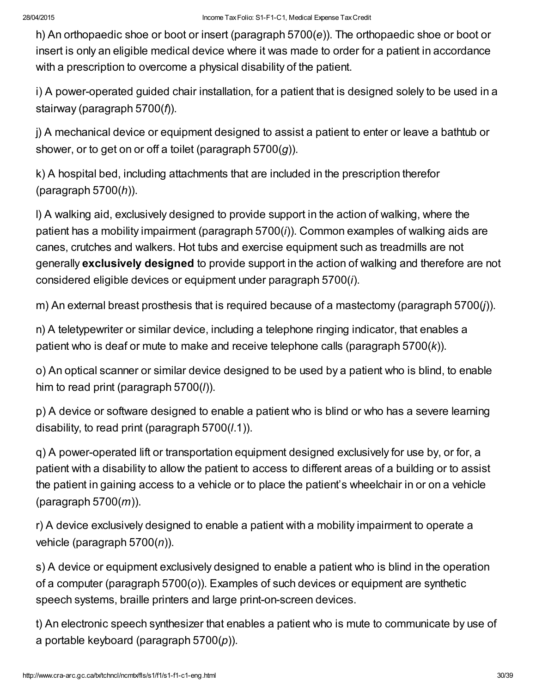h) An orthopaedic shoe or boot or insert (paragraph 5700(e)). The orthopaedic shoe or boot or insert is only an eligible medical device where it was made to order for a patient in accordance with a prescription to overcome a physical disability of the patient.

i) A power-operated guided chair installation, for a patient that is designed solely to be used in a stairway (paragraph 5700(f)).

j) A mechanical device or equipment designed to assist a patient to enter or leave a bathtub or shower, or to get on or off a toilet (paragraph  $5700(q)$ ).

k) A hospital bed, including attachments that are included in the prescription therefor (paragraph  $5700(h)$ ).

l) A walking aid, exclusively designed to provide support in the action of walking, where the patient has a mobility impairment (paragraph 5700(i)). Common examples of walking aids are canes, crutches and walkers. Hot tubs and exercise equipment such as treadmills are not generally exclusively designed to provide support in the action of walking and therefore are not considered eligible devices or equipment under paragraph 5700(i).

m) An external breast prosthesis that is required because of a mastectomy (paragraph 5700(j)).

n) A teletypewriter or similar device, including a telephone ringing indicator, that enables a patient who is deaf or mute to make and receive telephone calls (paragraph  $5700(k)$ ).

o) An optical scanner or similar device designed to be used by a patient who is blind, to enable him to read print (paragraph  $5700(1)$ ).

p) A device or software designed to enable a patient who is blind or who has a severe learning disability, to read print (paragraph  $5700(1.1)$ ).

q) A power-operated lift or transportation equipment designed exclusively for use by, or for, a patient with a disability to allow the patient to access to different areas of a building or to assist the patient in gaining access to a vehicle or to place the patient's wheelchair in or on a vehicle (paragraph  $5700(m)$ ).

r) A device exclusively designed to enable a patient with a mobility impairment to operate a vehicle (paragraph  $5700(n)$ ).

s) A device or equipment exclusively designed to enable a patient who is blind in the operation of a computer (paragraph 5700(o)). Examples of such devices or equipment are synthetic speech systems, braille printers and large print-on-screen devices.

t) An electronic speech synthesizer that enables a patient who is mute to communicate by use of a portable keyboard (paragraph  $5700(p)$ ).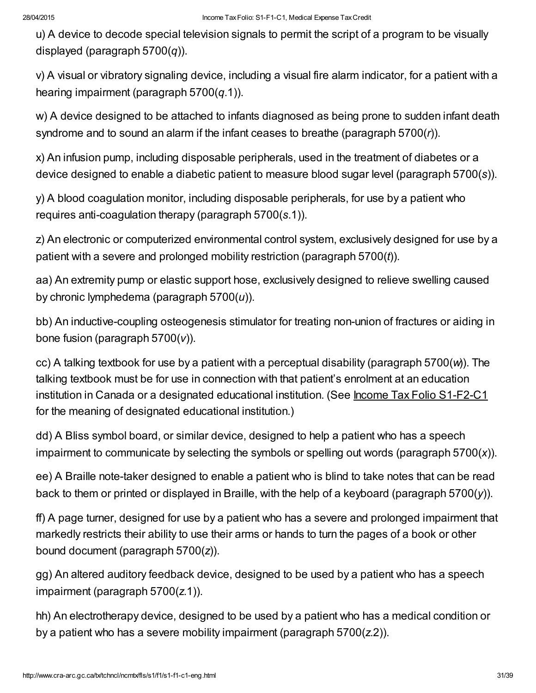u) A device to decode special television signals to permit the script of a program to be visually displayed (paragraph  $5700(q)$ ).

v) A visual or vibratory signaling device, including a visual fire alarm indicator, for a patient with a hearing impairment (paragraph  $5700(q.1)$ ).

w) A device designed to be attached to infants diagnosed as being prone to sudden infant death syndrome and to sound an alarm if the infant ceases to breathe (paragraph 5700(r)).

x) An infusion pump, including disposable peripherals, used in the treatment of diabetes or a device designed to enable a diabetic patient to measure blood sugar level (paragraph 5700(s)).

y) A blood coagulation monitor, including disposable peripherals, for use by a patient who requires anti-coagulation therapy (paragraph 5700(s.1)).

z) An electronic or computerized environmental control system, exclusively designed for use by a patient with a severe and prolonged mobility restriction (paragraph 5700(t)).

aa) An extremity pump or elastic support hose, exclusively designed to relieve swelling caused by chronic lymphedema (paragraph  $5700(u)$ ).

bb) An inductive-coupling osteogenesis stimulator for treating non-union of fractures or aiding in bone fusion (paragraph  $5700(v)$ ).

cc) A talking textbook for use by a patient with a perceptual disability (paragraph 5700(w)). The talking textbook must be for use in connection with that patient's enrolment at an education institution in Canada or a designated educational institution. (See Income Tax Folio [S1-F2-C1](http://www.cra-arc.gc.ca/tx/tchncl/ncmtx/fls/s1/f2/s1-f2-c1-eng.html#p1.9) for the meaning of designated educational institution.)

dd) A Bliss symbol board, or similar device, designed to help a patient who has a speech impairment to communicate by selecting the symbols or spelling out words (paragraph  $5700(x)$ ).

ee) A Braille note-taker designed to enable a patient who is blind to take notes that can be read back to them or printed or displayed in Braille, with the help of a keyboard (paragraph 5700 $(y)$ ).

ff) A page turner, designed for use by a patient who has a severe and prolonged impairment that markedly restricts their ability to use their arms or hands to turn the pages of a book or other bound document (paragraph 5700(z)).

gg) An altered auditory feedback device, designed to be used by a patient who has a speech impairment (paragraph 5700(z.1)).

hh) An electrotherapy device, designed to be used by a patient who has a medical condition or by a patient who has a severe mobility impairment (paragraph 5700(z.2)).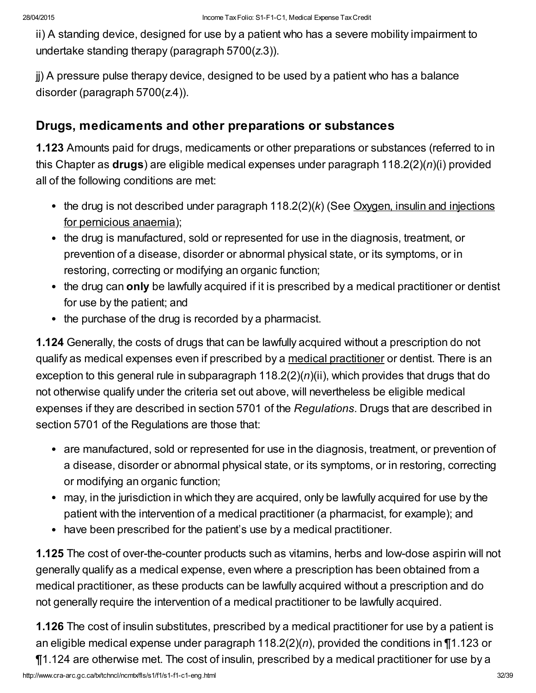ii) A standing device, designed for use by a patient who has a severe mobility impairment to undertake standing therapy (paragraph 5700(z.3)).

jj) A pressure pulse therapy device, designed to be used by a patient who has a balance disorder (paragraph 5700(z.4)).

#### <span id="page-31-0"></span>Drugs, medicaments and other preparations or substances

<span id="page-31-1"></span>1.123 Amounts paid for drugs, medicaments or other preparations or substances (referred to in this Chapter as **drugs**) are eligible medical expenses under paragraph  $118.2(2)(n)(i)$  provided all of the following conditions are met:

- the drug is not described under [paragraph](#page-21-3)  $118.2(2)(k)$  (See Oxygen, insulin and injections for pernicious anaemia);
- the drug is manufactured, sold or represented for use in the diagnosis, treatment, or prevention of a disease, disorder or abnormal physical state, or its symptoms, or in restoring, correcting or modifying an organic function;
- the drug can only be lawfully acquired if it is prescribed by a medical practitioner or dentist for use by the patient; and
- the purchase of the drug is recorded by a pharmacist.

1.124 Generally, the costs of drugs that can be lawfully acquired without a prescription do not qualify as medical expenses even if prescribed by a medical practitioner or dentist. There is an exception to this general rule in subparagraph  $118.2(2)(n)(ii)$ , which provides that drugs that do not otherwise qualify under the criteria set out above, will nevertheless be eligible medical expenses if they are described in section 5701 of the Regulations. Drugs that are described in section 5701 of the Regulations are those that:

- are manufactured, sold or represented for use in the diagnosis, treatment, or prevention of a disease, disorder or abnormal physical state, or its symptoms, or in restoring, correcting or modifying an organic function;
- may, in the jurisdiction in which they are acquired, only be lawfully acquired for use by the patient with the intervention of a medical practitioner (a pharmacist, for example); and
- have been prescribed for the patient's use by a medical practitioner.

1.125 The cost of over-the-counter products such as vitamins, herbs and low-dose aspirin will not generally qualify as a medical expense, even where a prescription has been obtained from a medical practitioner, as these products can be lawfully acquired without a prescription and do not generally require the intervention of a medical practitioner to be lawfully acquired.

1.126 The cost of insulin substitutes, prescribed by a medical practitioner for use by a patient is an eligible medical expense under paragraph 118.2(2)(n), provided the conditions in  $\P$ 1.123 or ¶1.124 are otherwise met. The cost of insulin, prescribed by a medical practitioner for use by a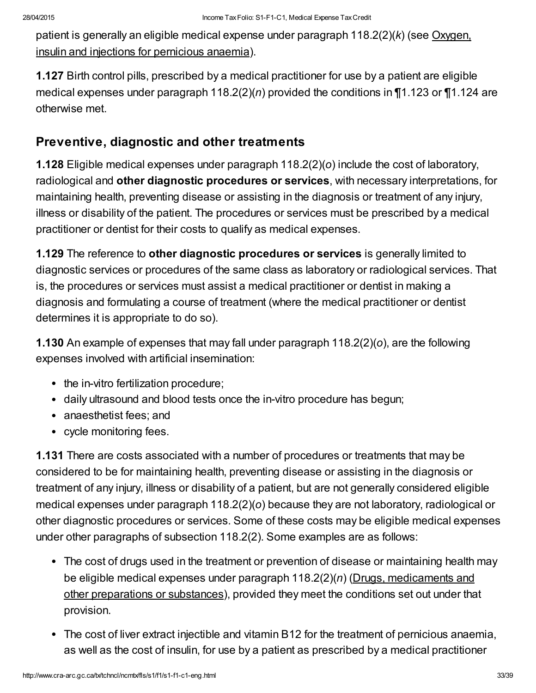patient is generally an eligible medical expense under [paragraph](#page-21-3) 118.2(2)(k) (see Oxygen, insulin and injections for pernicious anaemia).

1.127 Birth control pills, prescribed by a medical practitioner for use by a patient are eligible medical expenses under paragraph 118.2(2)(n) provided the conditions in  $\P$ 1.123 or  $\P$ 1.124 are otherwise met.

### <span id="page-32-0"></span>Preventive, diagnostic and other treatments

1.128 Eligible medical expenses under paragraph 118.2(2)(o) include the cost of laboratory, radiological and other diagnostic procedures or services, with necessary interpretations, for maintaining health, preventing disease or assisting in the diagnosis or treatment of any injury, illness or disability of the patient. The procedures or services must be prescribed by a medical practitioner or dentist for their costs to qualify as medical expenses.

1.129 The reference to other diagnostic procedures or services is generally limited to diagnostic services or procedures of the same class as laboratory or radiological services. That is, the procedures or services must assist a medical practitioner or dentist in making a diagnosis and formulating a course of treatment (where the medical practitioner or dentist determines it is appropriate to do so).

1.130 An example of expenses that may fall under paragraph 118.2(2)(o), are the following expenses involved with artificial insemination:

- the in-vitro fertilization procedure;
- daily ultrasound and blood tests once the in-vitro procedure has begun;
- anaesthetist fees: and
- cycle monitoring fees.

1.131 There are costs associated with a number of procedures or treatments that may be considered to be for maintaining health, preventing disease or assisting in the diagnosis or treatment of any injury, illness or disability of a patient, but are not generally considered eligible medical expenses under paragraph 118.2(2)(o) because they are not laboratory, radiological or other diagnostic procedures or services. Some of these costs may be eligible medical expenses under other paragraphs of subsection 118.2(2). Some examples are as follows:

- The cost of drugs used in the treatment or prevention of disease or maintaining health may be eligible medical expenses under paragraph 118.2(2)(n) (Drugs, medicaments and other preparations or substances), provided they meet the conditions set out under that provision.
- The cost of liver extract injectible and vitamin B12 for the treatment of pernicious anaemia, as well as the cost of insulin, for use by a patient as prescribed by a medical practitioner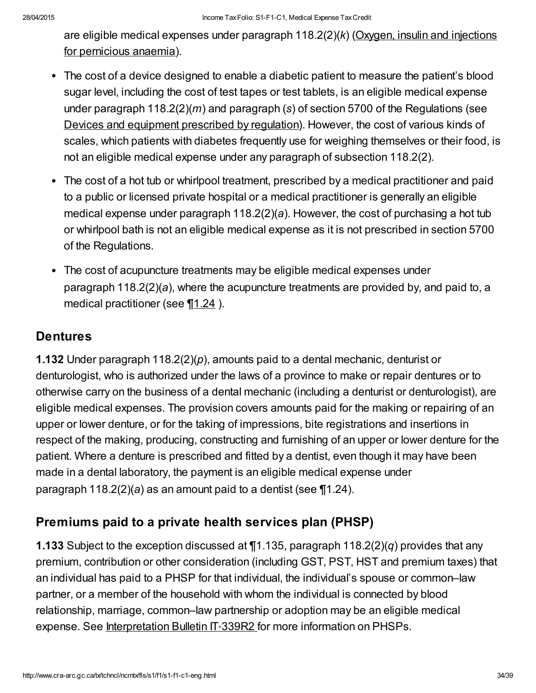are eligible medical expenses under [paragraph](#page-21-3) 118.2(2)(k) (Oxygen, insulin and injections for pernicious anaemia).

- The cost of a device designed to enable a diabetic patient to measure the patient's blood sugar level, including the cost of test tapes or test tablets, is an eligible medical expense under paragraph  $118.2(2)(m)$  and paragraph (s) of section 5700 of the Regulations (see Devices and equipment prescribed by regulation). However, the cost of various kinds of scales, which patients with diabetes frequently use for weighing themselves or their food, is not an eligible medical expense under any paragraph of subsection 118.2(2).
- The cost of a hot tub or whirlpool treatment, prescribed by a medical practitioner and paid to a public or licensed private hospital or a medical practitioner is generally an eligible medical expense under paragraph 118.2(2)(a). However, the cost of purchasing a hot tub or whirlpool bath is not an eligible medical expense as it is not prescribed in section 5700 of the Regulations.
- The cost of acupuncture treatments may be eligible medical expenses under paragraph 118.2(2)(a), where the acupuncture treatments are provided by, and paid to, a medical practitioner (see  $\P$ 1.24).

#### <span id="page-33-1"></span>**Dentures**

**1.132** Under paragraph 118.2(2)( $p$ ), amounts paid to a dental mechanic, denturist or denturologist, who is authorized under the laws of a province to make or repair dentures or to otherwise carry on the business of a dental mechanic (including a denturist or denturologist), are eligible medical expenses. The provision covers amounts paid for the making or repairing of an upper or lower denture, or for the taking of impressions, bite registrations and insertions in respect of the making, producing, constructing and furnishing of an upper or lower denture for the patient. Where a denture is prescribed and fitted by a dentist, even though it may have been made in a dental laboratory, the payment is an eligible medical expense under paragraph 118.2(2)(a) as an amount paid to a dentist (see  $\P$ 1.24).

#### <span id="page-33-0"></span>Premiums paid to a private health services plan (PHSP)

1.133 Subject to the exception discussed at ¶1.135, paragraph 118.2(2)(q) provides that any premium, contribution or other consideration (including GST, PST, HST and premium taxes) that an individual has paid to a PHSP for that individual, the individual's spouse or common–law partner, or a member of the household with whom the individual is connected by blood relationship, marriage, common–law partnership or adoption may be an eligible medical expense. See [Interpretation](http://www.cra-arc.gc.ca/E/pub/tp/it339r2/README.html) Bulletin IT-339R2 for more information on PHSPs.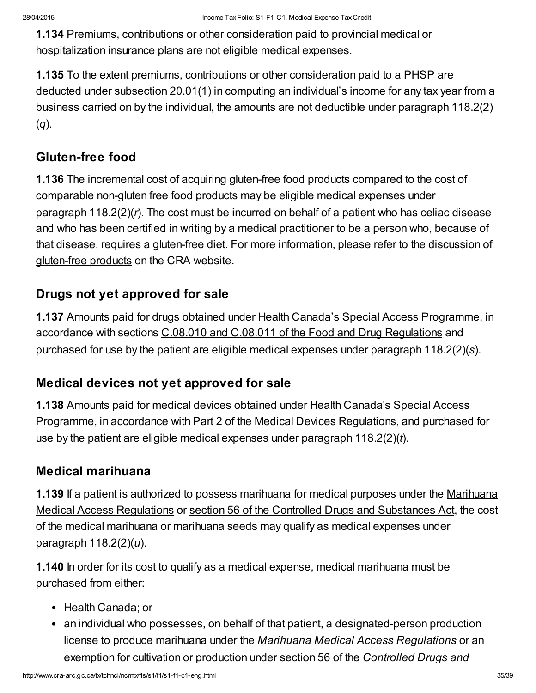1.134 Premiums, contributions or other consideration paid to provincial medical or hospitalization insurance plans are not eligible medical expenses.

1.135 To the extent premiums, contributions or other consideration paid to a PHSP are deducted under subsection 20.01(1) in computing an individual's income for any tax year from a business carried on by the individual, the amounts are not deductible under paragraph 118.2(2)  $(q)$ .

### <span id="page-34-0"></span>Gluten-free food

1.136 The incremental cost of acquiring gluten-free food products compared to the cost of comparable non-gluten free food products may be eligible medical expenses under paragraph 118.2(2)(r). The cost must be incurred on behalf of a patient who has celiac disease and who has been certified in writing by a medical practitioner to be a person who, because of that disease, requires a gluten-free diet. For more information, please refer to the discussion of [gluten-free](http://www.cra-arc.gc.ca/tx/ndvdls/tpcs/ncm-tx/rtrn/cmpltng/ddctns/lns300-350/330/clc-eng.html) products on the CRA website.

#### <span id="page-34-1"></span>Drugs not yet approved for sale

1.137 Amounts paid for drugs obtained under Health Canada's Special Access [Programme,](http://www.hc-sc.gc.ca/dhp-mps/acces/drugs-drogues/index-eng.php) in accordance with sections C.08.010 and C.08.011 of the Food and Drug [Regulations](http://laws-lois.justice.gc.ca/eng/regulations/C.R.C.%2C_c._870/page-311.html) and purchased for use by the patient are eligible medical expenses under paragraph 118.2(2)(s).

#### <span id="page-34-2"></span>Medical devices not yet approved for sale

1.138 Amounts paid for medical devices obtained under Health Canada's Special Access Programme, in accordance with Part 2 of the Medical Devices [Regulations,](http://laws-lois.justice.gc.ca/eng/regulations/SOR-98-282/page-16.html#h-45) and purchased for use by the patient are eligible medical expenses under paragraph 118.2(2)(t).

#### <span id="page-34-3"></span>Medical marihuana

**1.139** If a patient is authorized to possess marihuana for medical purposes under the Marihuana Medical Access Regulations or section 56 of the Controlled Drugs and [Substances](http://laws-lois.justice.gc.ca/eng/regulations/SOR-2001-227/index.html) Act, the cost of the medical marihuana or marihuana seeds may qualify as medical expenses under paragraph  $118.2(2)(u)$ .

1.140 In order for its cost to qualify as a medical expense, medical marihuana must be purchased from either:

- Health Canada: or
- an individual who possesses, on behalf of that patient, a designated-person production license to produce marihuana under the Marihuana Medical Access Regulations or an exemption for cultivation or production under section 56 of the Controlled Drugs and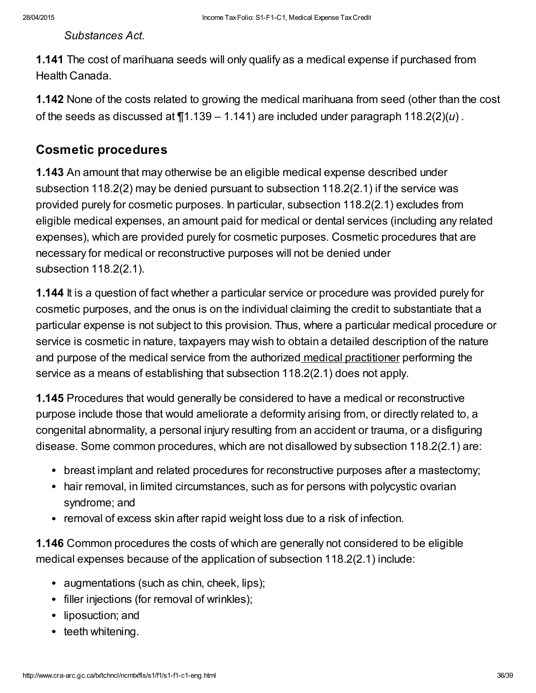Substances Act.

1.141 The cost of marihuana seeds will only qualify as a medical expense if purchased from Health Canada.

1.142 None of the costs related to growing the medical marihuana from seed (other than the cost of the seeds as discussed at  $\P$ 1.139 – 1.141) are included under paragraph 118.2(2)(*u*).

#### <span id="page-35-0"></span>Cosmetic procedures

1.143 An amount that may otherwise be an eligible medical expense described under subsection 118.2(2) may be denied pursuant to subsection 118.2(2.1) if the service was provided purely for cosmetic purposes. In particular, subsection 118.2(2.1) excludes from eligible medical expenses, an amount paid for medical or dental services (including any related expenses), which are provided purely for cosmetic purposes. Cosmetic procedures that are necessary for medical or reconstructive purposes will not be denied under subsection 118.2(2.1).

1.144 It is a question of fact whether a particular service or procedure was provided purely for cosmetic purposes, and the onus is on the individual claiming the credit to substantiate that a particular expense is not subject to this provision. Thus, where a particular medical procedure or service is cosmetic in nature, taxpayers may wish to obtain a detailed description of the nature and purpose of the medical service from the authorized medical practitioner performing the service as a means of establishing that subsection 118.2(2.1) does not apply.

1.145 Procedures that would generally be considered to have a medical or reconstructive purpose include those that would ameliorate a deformity arising from, or directly related to, a congenital abnormality, a personal injury resulting from an accident or trauma, or a disfiguring disease. Some common procedures, which are not disallowed by subsection 118.2(2.1) are:

- breast implant and related procedures for reconstructive purposes after a mastectomy;
- hair removal, in limited circumstances, such as for persons with polycystic ovarian syndrome; and
- removal of excess skin after rapid weight loss due to a risk of infection.

1.146 Common procedures the costs of which are generally not considered to be eligible medical expenses because of the application of subsection 118.2(2.1) include:

- augmentations (such as chin, cheek, lips);
- filler injections (for removal of wrinkles);
- liposuction; and
- teeth whitening.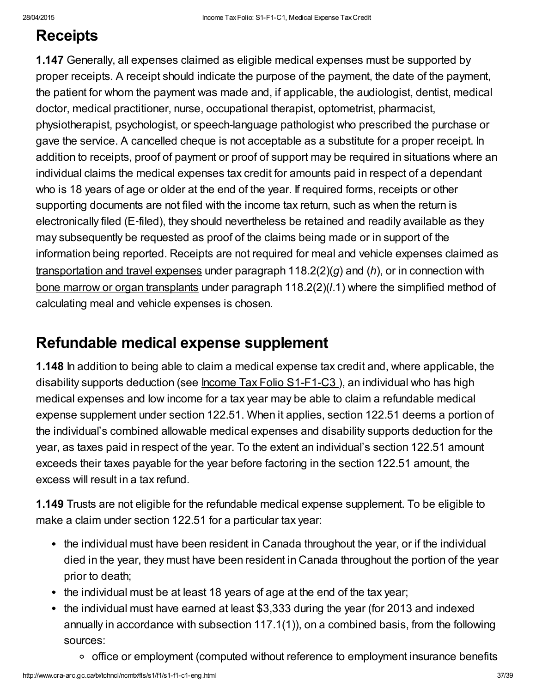# <span id="page-36-1"></span>Receipts

1.147 Generally, all expenses claimed as eligible medical expenses must be supported by proper receipts. A receipt should indicate the purpose of the payment, the date of the payment, the patient for whom the payment was made and, if applicable, the audiologist, dentist, medical doctor, medical practitioner, nurse, occupational therapist, optometrist, pharmacist, physiotherapist, psychologist, or speech-language pathologist who prescribed the purchase or gave the service. A cancelled cheque is not acceptable as a substitute for a proper receipt. In addition to receipts, proof of payment or proof of support may be required in situations where an individual claims the medical expenses tax credit for amounts paid in respect of a dependant who is 18 years of age or older at the end of the year. If required forms, receipts or other supporting documents are not filed with the income tax return, such as when the return is electronically filed (E‑filed), they should nevertheless be retained and readily available as they may subsequently be requested as proof of the claims being made or in support of the information being reported. Receipts are not required for meal and vehicle expenses claimed as transportation and travel expenses under paragraph  $118.2(2)(g)$  and  $(h)$ , or in connection with bone marrow or organ transplants under paragraph 118.2(2)(*l*.1) where the simplified method of calculating meal and vehicle expenses is chosen.

## <span id="page-36-0"></span>Refundable medical expense supplement

1.148 In addition to being able to claim a medical expense tax credit and, where applicable, the disability supports deduction (see Income Tax Folio [S1-F1-C3](http://www.cra-arc.gc.ca/tx/tchncl/ncmtx/fls/s1/f1/s1-f1-c3-eng.html) ), an individual who has high medical expenses and low income for a tax year may be able to claim a refundable medical expense supplement under section 122.51. When it applies, section 122.51 deems a portion of the individual's combined allowable medical expenses and disability supports deduction for the year, as taxes paid in respect of the year. To the extent an individual's section 122.51 amount exceeds their taxes payable for the year before factoring in the section 122.51 amount, the excess will result in a tax refund.

1.149 Trusts are not eligible for the refundable medical expense supplement. To be eligible to make a claim under section 122.51 for a particular tax year:

- the individual must have been resident in Canada throughout the year, or if the individual died in the year, they must have been resident in Canada throughout the portion of the year prior to death;
- the individual must be at least 18 years of age at the end of the tax year;
- the individual must have earned at least \$3,333 during the year (for 2013 and indexed annually in accordance with subsection 117.1(1)), on a combined basis, from the following sources:
	- o office or employment (computed without reference to employment insurance benefits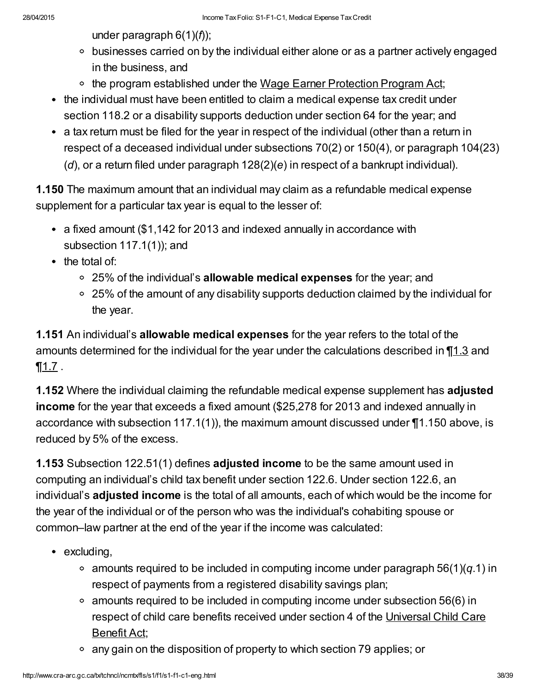under paragraph  $6(1)(f)$ ;

- businesses carried on by the individual either alone or as a partner actively engaged in the business, and
- ∘ the program established under the Wage Earner [Protection](http://laws-lois.justice.gc.ca/eng/acts/W-0.8/index.html) Program Act;
- the individual must have been entitled to claim a medical expense tax credit under section 118.2 or a disability supports deduction under section 64 for the year; and
- a tax return must be filed for the year in respect of the individual (other than a return in respect of a deceased individual under subsections 70(2) or 150(4), or paragraph 104(23) (d), or a return filed under paragraph 128(2)(e) in respect of a bankrupt individual).

1.150 The maximum amount that an individual may claim as a refundable medical expense supplement for a particular tax year is equal to the lesser of:

- a fixed amount (\$1,142 for 2013 and indexed annually in accordance with subsection 117.1(1)); and
- the total of:
	- $\circ$  25% of the individual's allowable medical expenses for the year; and
	- 25% of the amount of any disability supports deduction claimed by the individual for the year.

1.151 An individual's allowable medical expenses for the year refers to the total of the amounts determined for the individual for the year under the calculations described in  $\P$ 1.3 and  $\P 1.7$ .

1.152 Where the individual claiming the refundable medical expense supplement has adjusted income for the year that exceeds a fixed amount (\$25,278 for 2013 and indexed annually in accordance with subsection 117.1(1)), the maximum amount discussed under ¶1.150 above, is reduced by 5% of the excess.

1.153 Subsection 122.51(1) defines adjusted income to be the same amount used in computing an individual's child tax benefit under section 122.6. Under section 122.6, an individual's adjusted income is the total of all amounts, each of which would be the income for the year of the individual or of the person who was the individual's cohabiting spouse or common–law partner at the end of the year if the income was calculated:

- excluding,
	- $\circ$  amounts required to be included in computing income under paragraph 56(1)(q.1) in respect of payments from a registered disability savings plan;
	- $\circ$  amounts required to be included in computing income under subsection 56(6) in respect of child care benefits received under section 4 of the [Universal](http://laws-lois.justice.gc.ca/eng/acts/U-3.2/index.html) Child Care Benefit Act;
	- any gain on the disposition of property to which section 79 applies; or